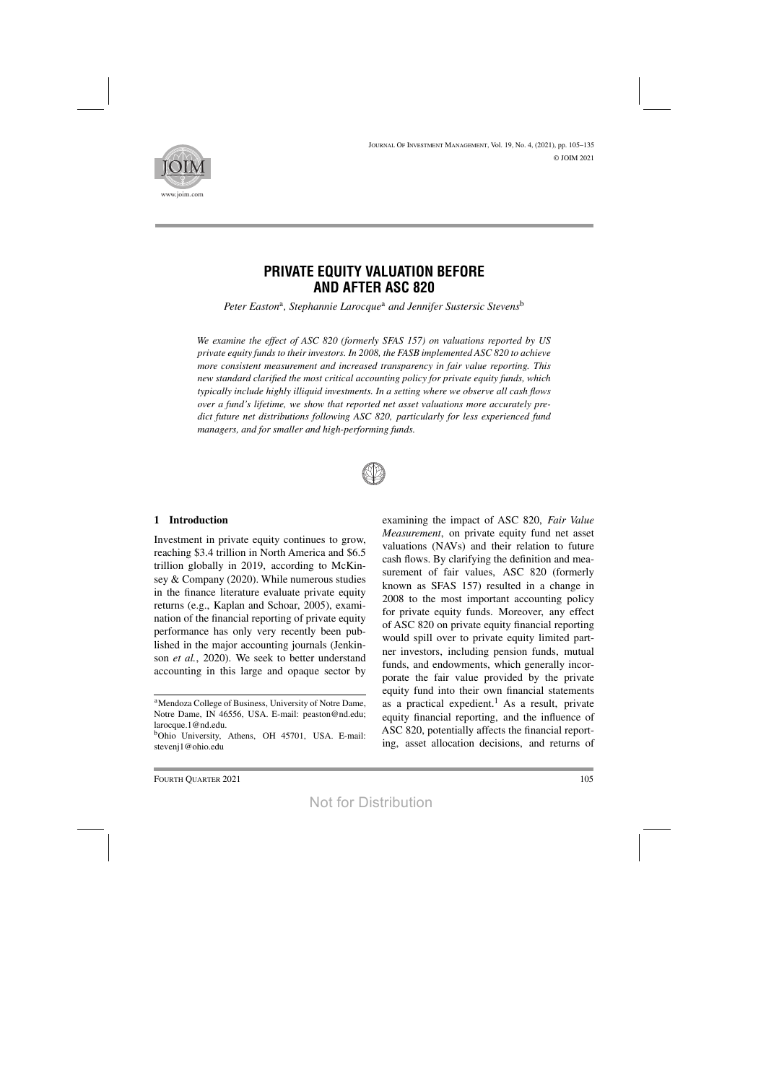

# **PRIVATE EQUITY VALUATION BEFORE AND AFTER ASC 820**

*Peter Easton*a*, Stephannie Larocque*<sup>a</sup> *and Jennifer Sustersic Stevens*<sup>b</sup>

*We examine the effect of ASC 820 (formerly SFAS 157) on valuations reported by US private equity funds to their investors. In 2008, the FASB implemented ASC 820 to achieve more consistent measurement and increased transparency in fair value reporting. This new standard clarified the most critical accounting policy for private equity funds, which typically include highly illiquid investments. In a setting where we observe all cash flows over a fund's lifetime, we show that reported net asset valuations more accurately predict future net distributions following ASC 820, particularly for less experienced fund managers, and for smaller and high-performing funds.*



# **1 Introduction**

Investment in private equity continues to grow, reaching \$3.4 trillion in North America and \$6.5 trillion globally in 2019, according to McKinsey & Company (2020). While numerous studies in the finance literature evaluate private equity returns (e.g., Kaplan and Schoar, 2005), examination of the financial reporting of private equity performance has only very recently been published in the major accounting journals (Jenkinson *et al.*, 2020). We seek to better understand accounting in this large and opaque sector by

examining the impact of ASC 820, *Fair Value Measurement*, on private equity fund net asset valuations (NAVs) and their relation to future cash flows. By clarifying the definition and measurement of fair values, ASC 820 (formerly known as SFAS 157) resulted in a change in 2008 to the most important accounting policy for private equity funds. Moreover, any effect of ASC 820 on private equity financial reporting would spill over to private equity limited partner investors, including pension funds, mutual funds, and endowments, which generally incorporate the fair value provided by the private equity fund into their own financial statements as a practical expedient.<sup>1</sup> As a result, private equity financial reporting, and the influence of ASC 820, potentially affects the financial reporting, asset allocation decisions, and returns of

<sup>&</sup>lt;sup>a</sup>Mendoza College of Business, University of Notre Dame, Notre Dame, IN 46556, USA. E-mail: peaston@nd.edu; larocque.1@nd.edu.

<sup>&</sup>lt;sup>b</sup>Ohio University, Athens, OH 45701, USA. E-mail: stevenj1@ohio.edu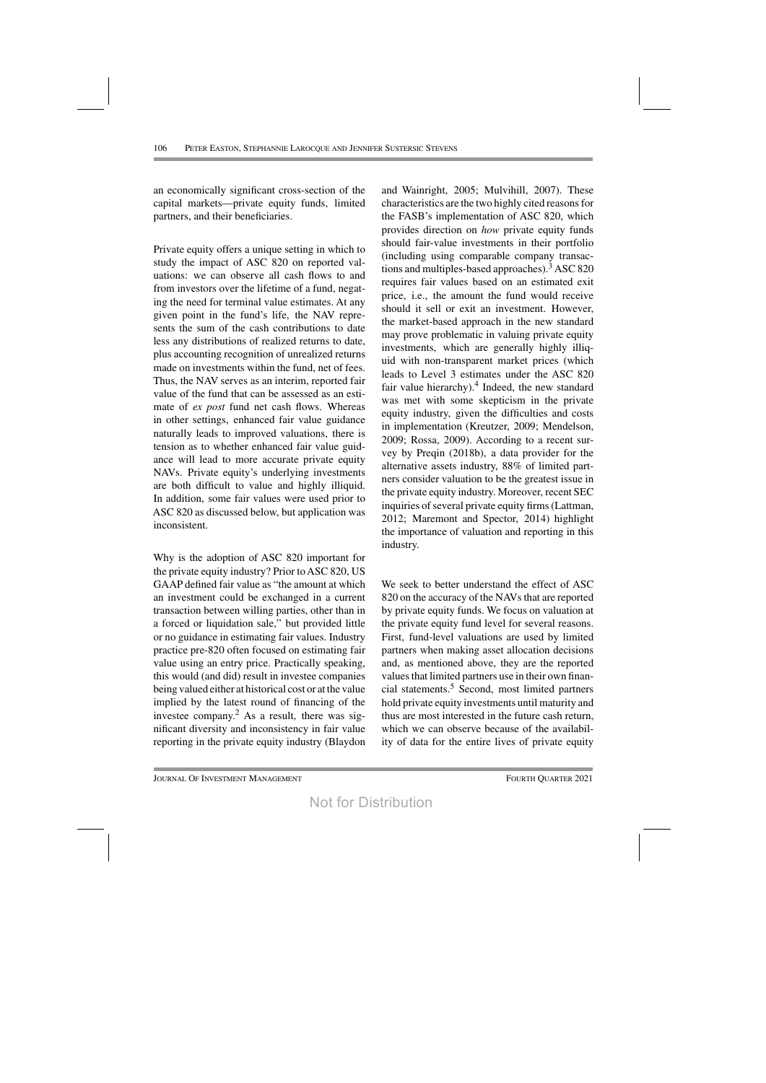an economically significant cross-section of the capital markets—private equity funds, limited partners, and their beneficiaries.

Private equity offers a unique setting in which to study the impact of ASC 820 on reported valuations: we can observe all cash flows to and from investors over the lifetime of a fund, negating the need for terminal value estimates. At any given point in the fund's life, the NAV represents the sum of the cash contributions to date less any distributions of realized returns to date, plus accounting recognition of unrealized returns made on investments within the fund, net of fees. Thus, the NAV serves as an interim, reported fair value of the fund that can be assessed as an estimate of *ex post* fund net cash flows. Whereas in other settings, enhanced fair value guidance naturally leads to improved valuations, there is tension as to whether enhanced fair value guidance will lead to more accurate private equity NAVs. Private equity's underlying investments are both difficult to value and highly illiquid. In addition, some fair values were used prior to ASC 820 as discussed below, but application was inconsistent.

Why is the adoption of ASC 820 important for the private equity industry? Prior toASC 820, US GAAP defined fair value as "the amount at which an investment could be exchanged in a current transaction between willing parties, other than in a forced or liquidation sale," but provided little or no guidance in estimating fair values. Industry practice pre-820 often focused on estimating fair value using an entry price. Practically speaking, this would (and did) result in investee companies being valued either at historical cost or at the value implied by the latest round of financing of the investee company. <sup>2</sup> As a result, there was significant diversity and inconsistency in fair value reporting in the private equity industry (Blaydon

and Wainright, 2005; Mulvihill, 2007). These characteristics are the two highly cited reasonsfor the FASB's implementation of ASC 820, which provides direction on *how* private equity funds should fair-value investments in their portfolio (including using comparable company transactions and multiples-based approaches).<sup>3</sup> ASC 820 requires fair values based on an estimated exit price, i.e., the amount the fund would receive should it sell or exit an investment. However, the market-based approach in the new standard may prove problematic in valuing private equity investments, which are generally highly illiquid with non-transparent market prices (which leads to Level 3 estimates under the ASC 820 fair value hierarchy). $4$  Indeed, the new standard was met with some skepticism in the private equity industry, given the difficulties and costs in implementation (Kreutzer, 2009; Mendelson, 2009; Rossa, 2009). According to a recent survey by Preqin (2018b), a data provider for the alternative assets industry, 88% of limited partners consider valuation to be the greatest issue in the private equity industry. Moreover, recent SEC inquiries of several private equity firms (Lattman, 2012; Maremont and Spector, 2014) highlight the importance of valuation and reporting in this industry.

We seek to better understand the effect of ASC 820 on the accuracy of the NAVs that are reported by private equity funds. We focus on valuation at the private equity fund level for several reasons. First, fund-level valuations are used by limited partners when making asset allocation decisions and, as mentioned above, they are the reported values that limited partners use in their own financial statements.5 Second, most limited partners hold private equity investments until maturity and thus are most interested in the future cash return, which we can observe because of the availability of data for the entire lives of private equity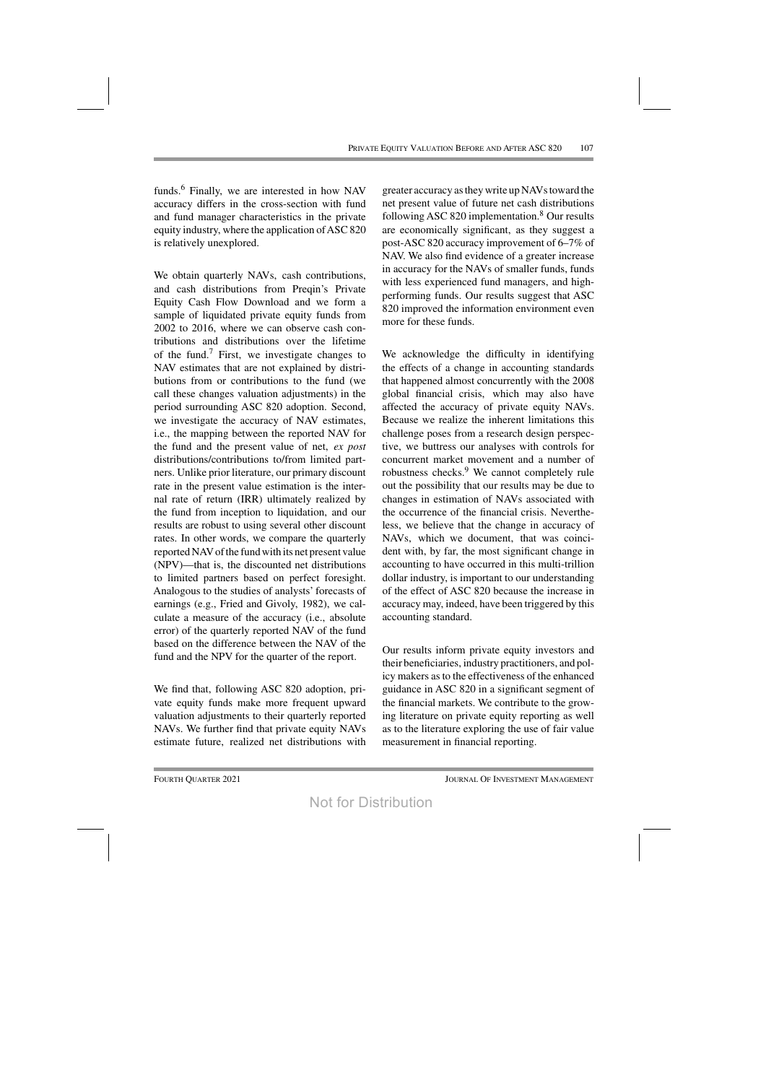funds.6 Finally, we are interested in how NAV accuracy differs in the cross-section with fund and fund manager characteristics in the private equity industry, where the application of ASC 820 is relatively unexplored.

We obtain quarterly NAVs, cash contributions, and cash distributions from Preqin's Private Equity Cash Flow Download and we form a sample of liquidated private equity funds from 2002 to 2016, where we can observe cash contributions and distributions over the lifetime of the fund.<sup>7</sup> First, we investigate changes to NAV estimates that are not explained by distributions from or contributions to the fund (we call these changes valuation adjustments) in the period surrounding ASC 820 adoption. Second, we investigate the accuracy of NAV estimates, i.e., the mapping between the reported NAV for the fund and the present value of net, *ex post* distributions/contributions to/from limited partners. Unlike prior literature, our primary discount rate in the present value estimation is the internal rate of return (IRR) ultimately realized by the fund from inception to liquidation, and our results are robust to using several other discount rates. In other words, we compare the quarterly reported NAV of the fund with its net present value (NPV)—that is, the discounted net distributions to limited partners based on perfect foresight. Analogous to the studies of analysts' forecasts of earnings (e.g., Fried and Givoly, 1982), we calculate a measure of the accuracy (i.e., absolute error) of the quarterly reported NAV of the fund based on the difference between the NAV of the fund and the NPV for the quarter of the report.

We find that, following ASC 820 adoption, private equity funds make more frequent upward valuation adjustments to their quarterly reported NAVs. We further find that private equity NAVs estimate future, realized net distributions with

greater accuracy astheywrite upNAVstoward the net present value of future net cash distributions following ASC 820 implementation.8 Our results are economically significant, as they suggest a post-ASC 820 accuracy improvement of 6–7% of NAV. We also find evidence of a greater increase in accuracy for the NAVs of smaller funds, funds with less experienced fund managers, and highperforming funds. Our results suggest that ASC 820 improved the information environment even more for these funds.

We acknowledge the difficulty in identifying the effects of a change in accounting standards that happened almost concurrently with the 2008 global financial crisis, which may also have affected the accuracy of private equity NAVs. Because we realize the inherent limitations this challenge poses from a research design perspective, we buttress our analyses with controls for concurrent market movement and a number of robustness checks.9 We cannot completely rule out the possibility that our results may be due to changes in estimation of NAVs associated with the occurrence of the financial crisis. Nevertheless, we believe that the change in accuracy of NAVs, which we document, that was coincident with, by far, the most significant change in accounting to have occurred in this multi-trillion dollar industry, is important to our understanding of the effect of ASC 820 because the increase in accuracy may, indeed, have been triggered by this accounting standard.

Our results inform private equity investors and their beneficiaries, industry practitioners, and policy makers as to the effectiveness of the enhanced guidance in ASC 820 in a significant segment of the financial markets. We contribute to the growing literature on private equity reporting as well as to the literature exploring the use of fair value measurement in financial reporting.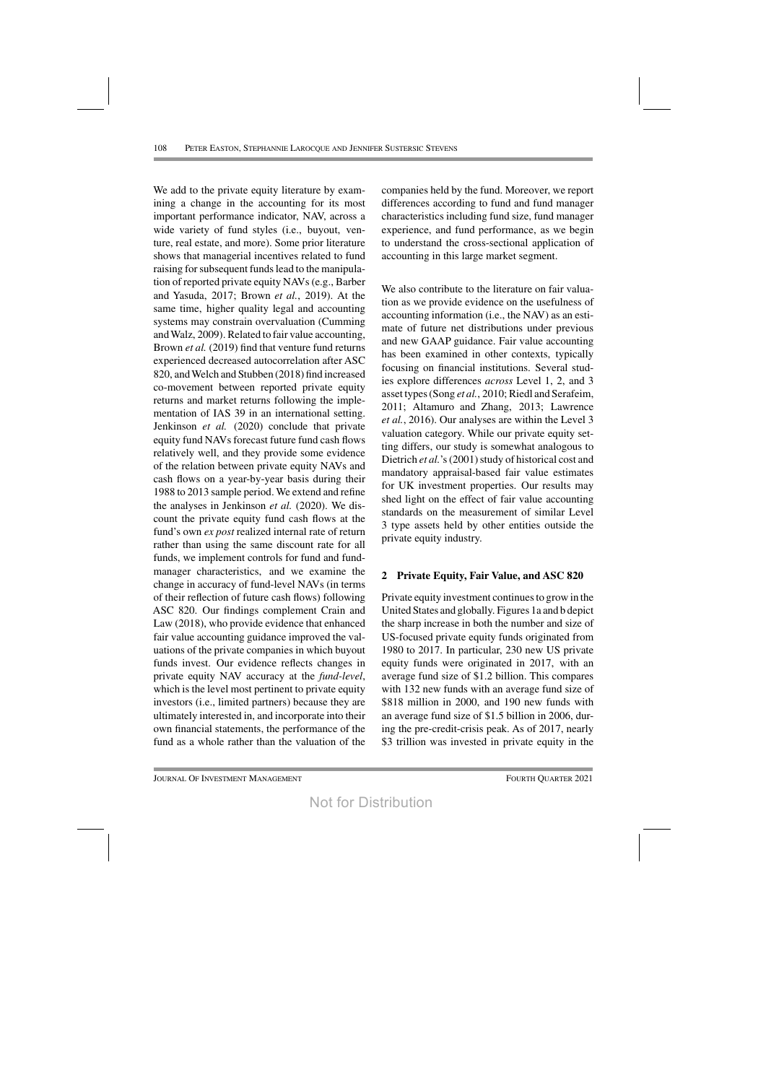We add to the private equity literature by examining a change in the accounting for its most important performance indicator, NAV, across a wide variety of fund styles (i.e., buyout, venture, real estate, and more). Some prior literature shows that managerial incentives related to fund raising for subsequent funds lead to the manipulation of reported private equity NAVs(e.g., Barber and Yasuda, 2017; Brown *et al.*, 2019). At the same time, higher quality legal and accounting systems may constrain overvaluation (Cumming andWalz, 2009). Related to fair value accounting, Brown *et al.* (2019) find that venture fund returns experienced decreased autocorrelation after ASC 820, andWelch and Stubben (2018) find increased co-movement between reported private equity returns and market returns following the implementation of IAS 39 in an international setting. Jenkinson *et al.* (2020) conclude that private equity fund NAVs forecast future fund cash flows relatively well, and they provide some evidence of the relation between private equity NAVs and cash flows on a year-by-year basis during their 1988 to 2013 sample period. We extend and refine the analyses in Jenkinson *et al.* (2020). We discount the private equity fund cash flows at the fund's own *ex post* realized internal rate of return rather than using the same discount rate for all funds, we implement controls for fund and fundmanager characteristics, and we examine the change in accuracy of fund-level NAVs (in terms of their reflection of future cash flows) following ASC 820. Our findings complement Crain and Law (2018), who provide evidence that enhanced fair value accounting guidance improved the valuations of the private companies in which buyout funds invest. Our evidence reflects changes in private equity NAV accuracy at the *fund-level*, which is the level most pertinent to private equity investors (i.e., limited partners) because they are ultimately interested in, and incorporate into their own financial statements, the performance of the fund as a whole rather than the valuation of the

companies held by the fund. Moreover, we report differences according to fund and fund manager characteristics including fund size, fund manager experience, and fund performance, as we begin to understand the cross-sectional application of accounting in this large market segment.

We also contribute to the literature on fair valuation as we provide evidence on the usefulness of accounting information (i.e., the NAV) as an estimate of future net distributions under previous and new GAAP guidance. Fair value accounting has been examined in other contexts, typically focusing on financial institutions. Several studies explore differences *across* Level 1, 2, and 3 asset types(Song *et al.*, 2010; Riedl and Serafeim, 2011; Altamuro and Zhang, 2013; Lawrence *et al.*, 2016). Our analyses are within the Level 3 valuation category. While our private equity setting differs, our study is somewhat analogous to Dietrich et al.'s (2001) study of historical cost and mandatory appraisal-based fair value estimates for UK investment properties. Our results may shed light on the effect of fair value accounting standards on the measurement of similar Level 3 type assets held by other entities outside the private equity industry.

# **2 Private Equity, Fair Value, and ASC 820**

Private equity investment continues to grow in the United States and globally. Figures 1a and b depict the sharp increase in both the number and size of US-focused private equity funds originated from 1980 to 2017. In particular, 230 new US private equity funds were originated in 2017, with an average fund size of \$1.2 billion. This compares with 132 new funds with an average fund size of \$818 million in 2000, and 190 new funds with an average fund size of \$1.5 billion in 2006, during the pre-credit-crisis peak. As of 2017, nearly \$3 trillion was invested in private equity in the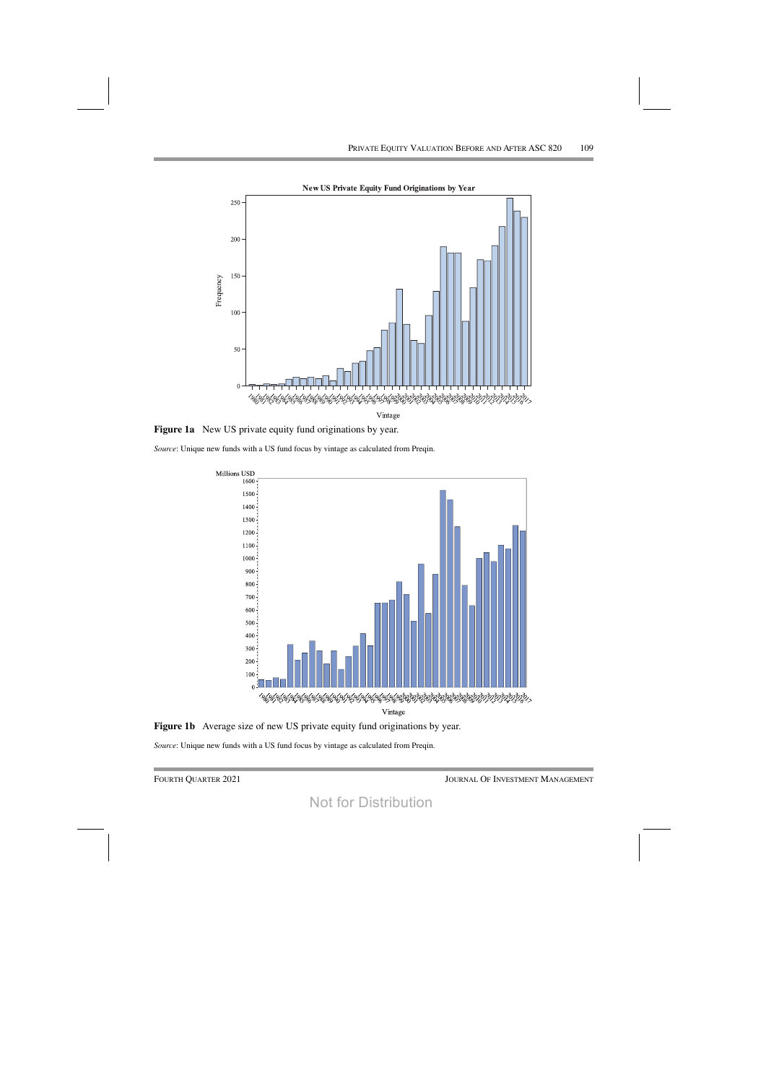

Figure 1a New US private equity fund originations by year.

Source: Unique new funds with a US fund focus by vintage as calculated from Preqin.





Source: Unique new funds with a US fund focus by vintage as calculated from Preqin.

**FOURTH QUARTER 2021**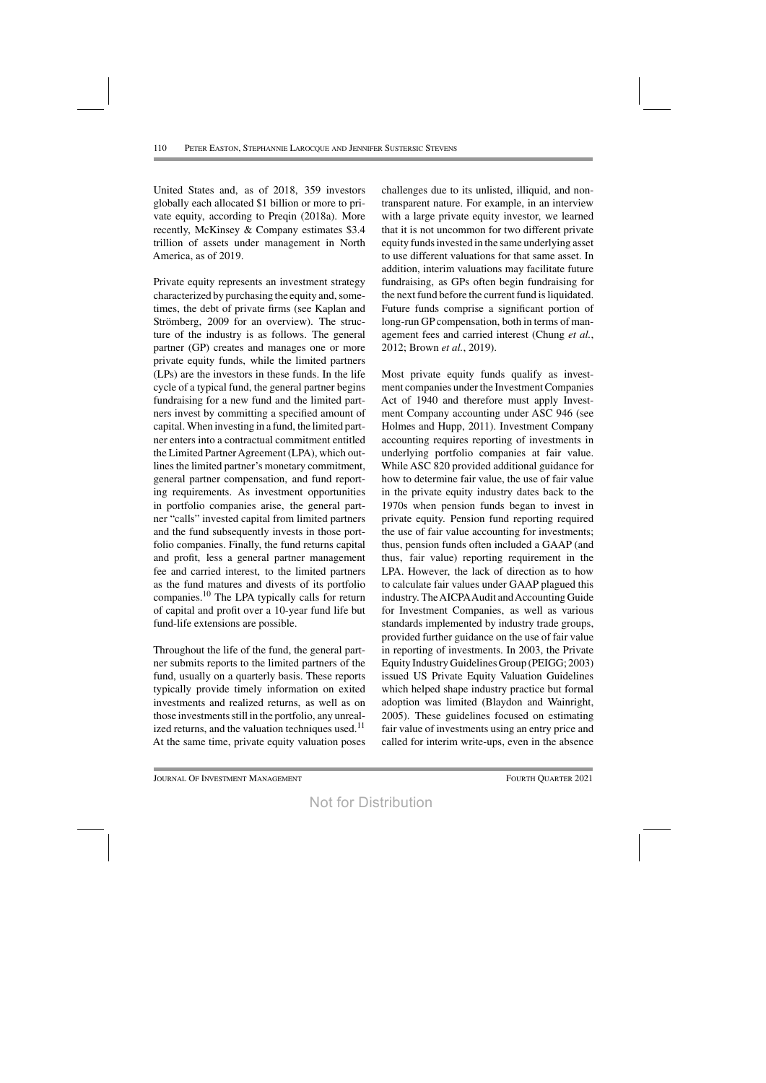United States and, as of 2018, 359 investors globally each allocated \$1 billion or more to private equity, according to Preqin (2018a). More recently, McKinsey & Company estimates \$3.4 trillion of assets under management in North America, as of 2019.

Private equity represents an investment strategy characterized by purchasing the equity and, sometimes, the debt of private firms (see Kaplan and Strömberg, 2009 for an overview). The structure of the industry is as follows. The general partner (GP) creates and manages one or more private equity funds, while the limited partners (LPs) are the investors in these funds. In the life cycle of a typical fund, the general partner begins fundraising for a new fund and the limited partners invest by committing a specified amount of capital. When investing in a fund, the limited partner enters into a contractual commitment entitled the Limited Partner Agreement (LPA), which outlines the limited partner's monetary commitment, general partner compensation, and fund reporting requirements. As investment opportunities in portfolio companies arise, the general partner "calls" invested capital from limited partners and the fund subsequently invests in those portfolio companies. Finally, the fund returns capital and profit, less a general partner management fee and carried interest, to the limited partners as the fund matures and divests of its portfolio companies.<sup>10</sup> The LPA typically calls for return of capital and profit over a 10-year fund life but fund-life extensions are possible.

Throughout the life of the fund, the general partner submits reports to the limited partners of the fund, usually on a quarterly basis. These reports typically provide timely information on exited investments and realized returns, as well as on those investments still in the portfolio, any unrealized returns, and the valuation techniques used.<sup>11</sup> At the same time, private equity valuation poses

challenges due to its unlisted, illiquid, and nontransparent nature. For example, in an interview with a large private equity investor, we learned that it is not uncommon for two different private equity funds invested in the same underlying asset to use different valuations for that same asset. In addition, interim valuations may facilitate future fundraising, as GPs often begin fundraising for the next fund before the current fund is liquidated. Future funds comprise a significant portion of long-run GP compensation, both in terms of management fees and carried interest (Chung et al., 2012; Brown et al., 2019).

Most private equity funds qualify as investment companies under the Investment Companies Act of 1940 and therefore must apply Investment Company accounting under ASC 946 (see Holmes and Hupp, 2011). Investment Company accounting requires reporting of investments in underlying portfolio companies at fair value. While ASC 820 provided additional guidance for how to determine fair value, the use of fair value in the private equity industry dates back to the 1970s when pension funds began to invest in private equity. Pension fund reporting required the use of fair value accounting for investments; thus, pension funds often included a GAAP (and thus, fair value) reporting requirement in the LPA. However, the lack of direction as to how to calculate fair values under GAAP plagued this industry. The AICPA Audit and Accounting Guide for Investment Companies, as well as various standards implemented by industry trade groups, provided further guidance on the use of fair value in reporting of investments. In 2003, the Private Equity Industry Guidelines Group (PEIGG; 2003) issued US Private Equity Valuation Guidelines which helped shape industry practice but formal adoption was limited (Blaydon and Wainright, 2005). These guidelines focused on estimating fair value of investments using an entry price and called for interim write-ups, even in the absence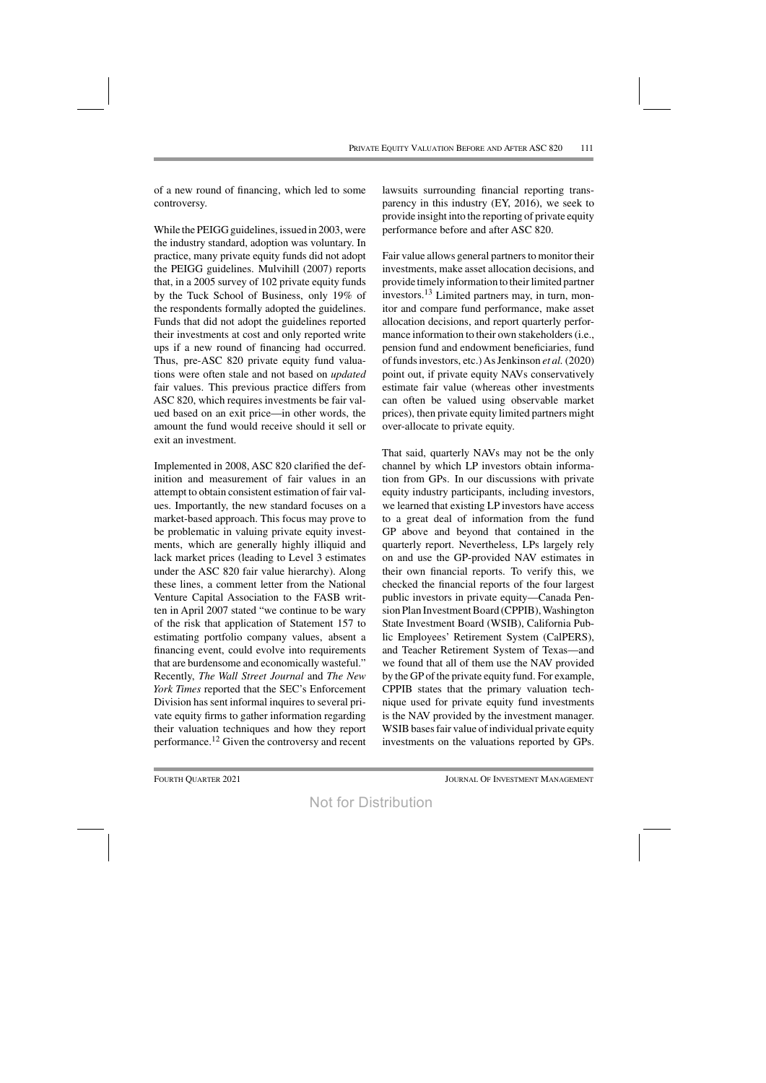of a new round of financing, which led to some controversy.

While the PEIGG guidelines, issued in 2003, were the industry standard, adoption was voluntary. In practice, many private equity funds did not adopt the PEIGG guidelines. Mulvihill (2007) reports that, in a 2005 survey of 102 private equity funds by the Tuck School of Business, only 19% of the respondents formally adopted the guidelines. Funds that did not adopt the guidelines reported their investments at cost and only reported write ups if a new round of financing had occurred. Thus, pre-ASC 820 private equity fund valuations were often stale and not based on *updated* fair values. This previous practice differs from ASC 820, which requires investments be fair valued based on an exit price—in other words, the amount the fund would receive should it sell or exit an investment.

Implemented in 2008, ASC 820 clarified the definition and measurement of fair values in an attempt to obtain consistent estimation of fair values. Importantly, the new standard focuses on a market-based approach. This focus may prove to be problematic in valuing private equity investments, which are generally highly illiquid and lack market prices (leading to Level 3 estimates under the ASC 820 fair value hierarchy). Along these lines, a comment letter from the National Venture Capital Association to the FASB written in April 2007 stated "we continue to be wary of the risk that application of Statement 157 to estimating portfolio company values, absent a financing event, could evolve into requirements that are burdensome and economically wasteful." Recently, *The Wall Street Journal* and *The New York Times* reported that the SEC's Enforcement Division has sent informal inquires to several private equity firms to gather information regarding their valuation techniques and how they report performance.12 Given the controversy and recent lawsuits surrounding financial reporting transparency in this industry (EY, 2016), we seek to provide insight into the reporting of private equity performance before and after ASC 820.

Fair value allows general partners to monitor their investments, make asset allocation decisions, and provide timely information to their limited partner investors.13 Limited partners may, in turn, monitor and compare fund performance, make asset allocation decisions, and report quarterly performance information to their own stakeholders (i.e., pension fund and endowment beneficiaries, fund offundsinvestors, etc.)AsJenkinson *et al.* (2020) point out, if private equity NAVs conservatively estimate fair value (whereas other investments can often be valued using observable market prices), then private equity limited partners might over-allocate to private equity.

That said, quarterly NAVs may not be the only channel by which LP investors obtain information from GPs. In our discussions with private equity industry participants, including investors, we learned that existing LP investors have access to a great deal of information from the fund GP above and beyond that contained in the quarterly report. Nevertheless, LPs largely rely on and use the GP-provided NAV estimates in their own financial reports. To verify this, we checked the financial reports of the four largest public investors in private equity—Canada Pension Plan Investment Board (CPPIB), Washington State Investment Board (WSIB), California Public Employees' Retirement System (CalPERS), and Teacher Retirement System of Texas—and we found that all of them use the NAV provided by the GPof the private equity fund. For example, CPPIB states that the primary valuation technique used for private equity fund investments is the NAV provided by the investment manager. WSIB bases fair value of individual private equity investments on the valuations reported by GPs.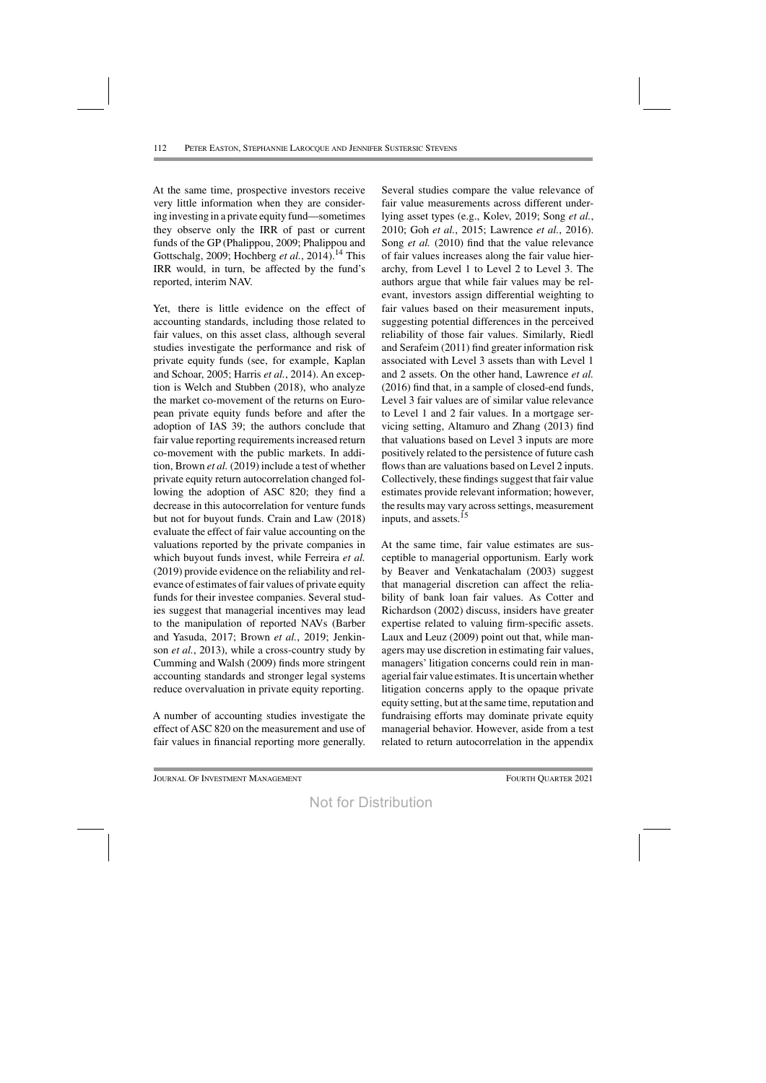At the same time, prospective investors receive very little information when they are considering investing in a private equity fund—sometimes they observe only the IRR of past or current funds of the GP (Phalippou, 2009; Phalippou and Gottschalg, 2009; Hochberg *et al.*, 2014).<sup>14</sup> This IRR would, in turn, be affected by the fund's reported, interim NAV.

Yet, there is little evidence on the effect of accounting standards, including those related to fair values, on this asset class, although several studies investigate the performance and risk of private equity funds (see, for example, Kaplan and Schoar, 2005; Harris *et al.*, 2014). An exception is Welch and Stubben (2018), who analyze the market co-movement of the returns on European private equity funds before and after the adoption of IAS 39; the authors conclude that fair value reporting requirements increased return co-movement with the public markets. In addition, Brown *et al.* (2019) include a test of whether private equity return autocorrelation changed following the adoption of ASC 820; they find a decrease in this autocorrelation for venture funds but not for buyout funds. Crain and Law (2018) evaluate the effect of fair value accounting on the valuations reported by the private companies in which buyout funds invest, while Ferreira *et al.* (2019) provide evidence on the reliability and relevance of estimates of fair values of private equity funds for their investee companies. Several studies suggest that managerial incentives may lead to the manipulation of reported NAVs (Barber and Yasuda, 2017; Brown *et al.*, 2019; Jenkinson *et al.*, 2013), while a cross-country study by Cumming and Walsh (2009) finds more stringent accounting standards and stronger legal systems reduce overvaluation in private equity reporting.

A number of accounting studies investigate the effect of ASC 820 on the measurement and use of fair values in financial reporting more generally.

Several studies compare the value relevance of fair value measurements across different underlying asset types (e.g., Kolev, 2019; Song *et al.*, 2010; Goh *et al.*, 2015; Lawrence *et al.*, 2016). Song *et al.* (2010) find that the value relevance of fair values increases along the fair value hierarchy, from Level 1 to Level 2 to Level 3. The authors argue that while fair values may be relevant, investors assign differential weighting to fair values based on their measurement inputs, suggesting potential differences in the perceived reliability of those fair values. Similarly, Riedl and Serafeim (2011) find greater information risk associated with Level 3 assets than with Level 1 and 2 assets. On the other hand, Lawrence *et al.* (2016) find that, in a sample of closed-end funds, Level 3 fair values are of similar value relevance to Level 1 and 2 fair values. In a mortgage servicing setting, Altamuro and Zhang (2013) find that valuations based on Level 3 inputs are more positively related to the persistence of future cash flows than are valuations based on Level 2 inputs. Collectively, these findings suggest that fair value estimates provide relevant information; however, the results may vary across settings, measurement inputs, and assets.<sup>15</sup>

At the same time, fair value estimates are susceptible to managerial opportunism. Early work by Beaver and Venkatachalam (2003) suggest that managerial discretion can affect the reliability of bank loan fair values. As Cotter and Richardson (2002) discuss, insiders have greater expertise related to valuing firm-specific assets. Laux and Leuz (2009) point out that, while managers may use discretion in estimating fair values, managers' litigation concerns could rein in managerial fair value estimates. It is uncertain whether litigation concerns apply to the opaque private equity setting, but at the same time, reputation and fundraising efforts may dominate private equity managerial behavior. However, aside from a test related to return autocorrelation in the appendix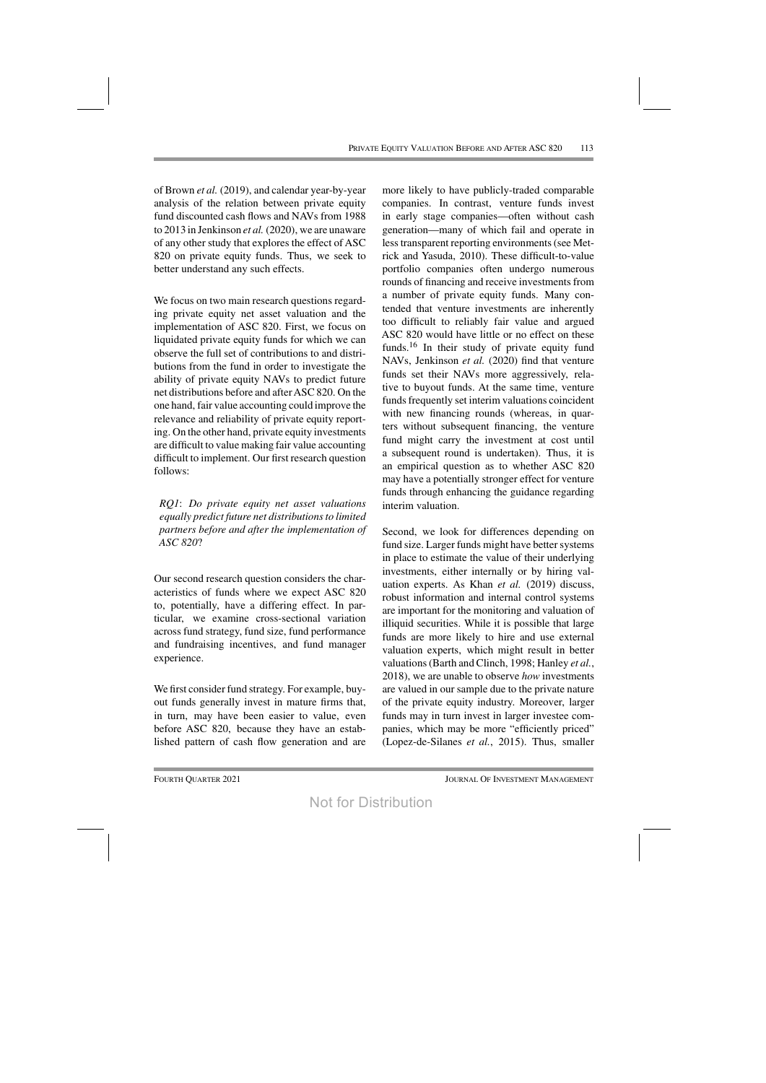of Brown *et al.* (2019), and calendar year-by-year analysis of the relation between private equity fund discounted cash flows and NAVs from 1988 to 2013 in Jenkinson *et al.* (2020), we are unaware of any other study that explores the effect of ASC 820 on private equity funds. Thus, we seek to better understand any such effects.

We focus on two main research questions regarding private equity net asset valuation and the implementation of ASC 820. First, we focus on liquidated private equity funds for which we can observe the full set of contributions to and distributions from the fund in order to investigate the ability of private equity NAVs to predict future net distributions before and after ASC 820. On the one hand, fair value accounting could improve the relevance and reliability of private equity reporting. On the other hand, private equity investments are difficult to value making fair value accounting difficult to implement. Our first research question follows:

*RQ1*: *Do private equity net asset valuations equally predict future net distributionsto limited partners before and after the implementation of ASC 820*?

Our second research question considers the characteristics of funds where we expect ASC 820 to, potentially, have a differing effect. In particular, we examine cross-sectional variation across fund strategy, fund size, fund performance and fundraising incentives, and fund manager experience.

We first consider fund strategy. For example, buyout funds generally invest in mature firms that, in turn, may have been easier to value, even before ASC 820, because they have an established pattern of cash flow generation and are

more likely to have publicly-traded comparable companies. In contrast, venture funds invest in early stage companies—often without cash generation—many of which fail and operate in lesstransparent reporting environments(see Metrick and Yasuda, 2010). These difficult-to-value portfolio companies often undergo numerous rounds of financing and receive investments from a number of private equity funds. Many contended that venture investments are inherently too difficult to reliably fair value and argued ASC 820 would have little or no effect on these funds.16 In their study of private equity fund NAVs, Jenkinson *et al.* (2020) find that venture funds set their NAVs more aggressively, relative to buyout funds. At the same time, venture funds frequently set interim valuations coincident with new financing rounds (whereas, in quarters without subsequent financing, the venture fund might carry the investment at cost until a subsequent round is undertaken). Thus, it is an empirical question as to whether ASC 820 may have a potentially stronger effect for venture funds through enhancing the guidance regarding interim valuation.

Second, we look for differences depending on fund size. Larger funds might have better systems in place to estimate the value of their underlying investments, either internally or by hiring valuation experts. As Khan *et al.* (2019) discuss, robust information and internal control systems are important for the monitoring and valuation of illiquid securities. While it is possible that large funds are more likely to hire and use external valuation experts, which might result in better valuations(Barth and Clinch, 1998; Hanley *et al.*, 2018), we are unable to observe *how* investments are valued in our sample due to the private nature of the private equity industry. Moreover, larger funds may in turn invest in larger investee companies, which may be more "efficiently priced" (Lopez-de-Silanes *et al.*, 2015). Thus, smaller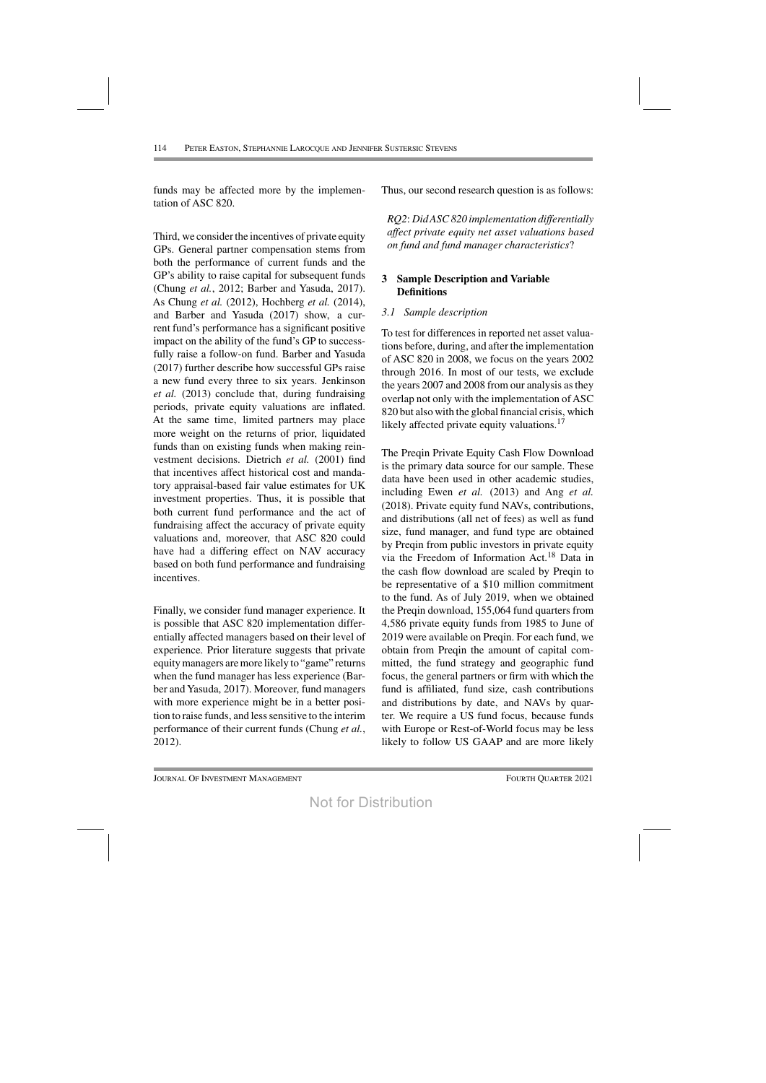funds may be affected more by the implementation of ASC 820.

Third, we consider the incentives of private equity GPs. General partner compensation stems from both the performance of current funds and the GP's ability to raise capital for subsequent funds (Chung *et al.*, 2012; Barber and Yasuda, 2017). As Chung *et al.* (2012), Hochberg *et al.* (2014), and Barber and Yasuda (2017) show, a current fund's performance has a significant positive impact on the ability of the fund's GP to successfully raise a follow-on fund. Barber and Yasuda (2017) further describe how successful GPs raise a new fund every three to six years. Jenkinson *et al.* (2013) conclude that, during fundraising periods, private equity valuations are inflated. At the same time, limited partners may place more weight on the returns of prior, liquidated funds than on existing funds when making reinvestment decisions. Dietrich *et al.* (2001) find that incentives affect historical cost and mandatory appraisal-based fair value estimates for UK investment properties. Thus, it is possible that both current fund performance and the act of fundraising affect the accuracy of private equity valuations and, moreover, that ASC 820 could have had a differing effect on NAV accuracy based on both fund performance and fundraising incentives.

Finally, we consider fund manager experience. It is possible that ASC 820 implementation differentially affected managers based on their level of experience. Prior literature suggests that private equitymanagers aremore likely to "game" returns when the fund manager has less experience (Barber and Yasuda, 2017). Moreover, fund managers with more experience might be in a better position to raise funds, and less sensitive to the interim performance of their current funds (Chung *et al.*, 2012).

Thus, our second research question is as follows:

*RQ2*: *DidASC820 implementation differentially affect private equity net asset valuations based on fund and fund manager characteristics*?

# **3 Sample Description and Variable Definitions**

# *3.1 Sample description*

To test for differences in reported net asset valuations before, during, and after the implementation of ASC 820 in 2008, we focus on the years 2002 through 2016. In most of our tests, we exclude the years 2007 and 2008 from our analysis asthey overlap not only with the implementation of ASC 820 but also with the global financial crisis, which likely affected private equity valuations.<sup>17</sup>

The Preqin Private Equity Cash Flow Download is the primary data source for our sample. These data have been used in other academic studies, including Ewen *et al.* (2013) and Ang *et al.* (2018). Private equity fund NAVs, contributions, and distributions (all net of fees) as well as fund size, fund manager, and fund type are obtained by Preqin from public investors in private equity via the Freedom of Information Act.18 Data in the cash flow download are scaled by Preqin to be representative of a \$10 million commitment to the fund. As of July 2019, when we obtained the Preqin download, 155,064 fund quarters from 4,586 private equity funds from 1985 to June of 2019 were available on Preqin. For each fund, we obtain from Preqin the amount of capital committed, the fund strategy and geographic fund focus, the general partners or firm with which the fund is affiliated, fund size, cash contributions and distributions by date, and NAVs by quarter. We require a US fund focus, because funds with Europe or Rest-of-World focus may be less likely to follow US GAAP and are more likely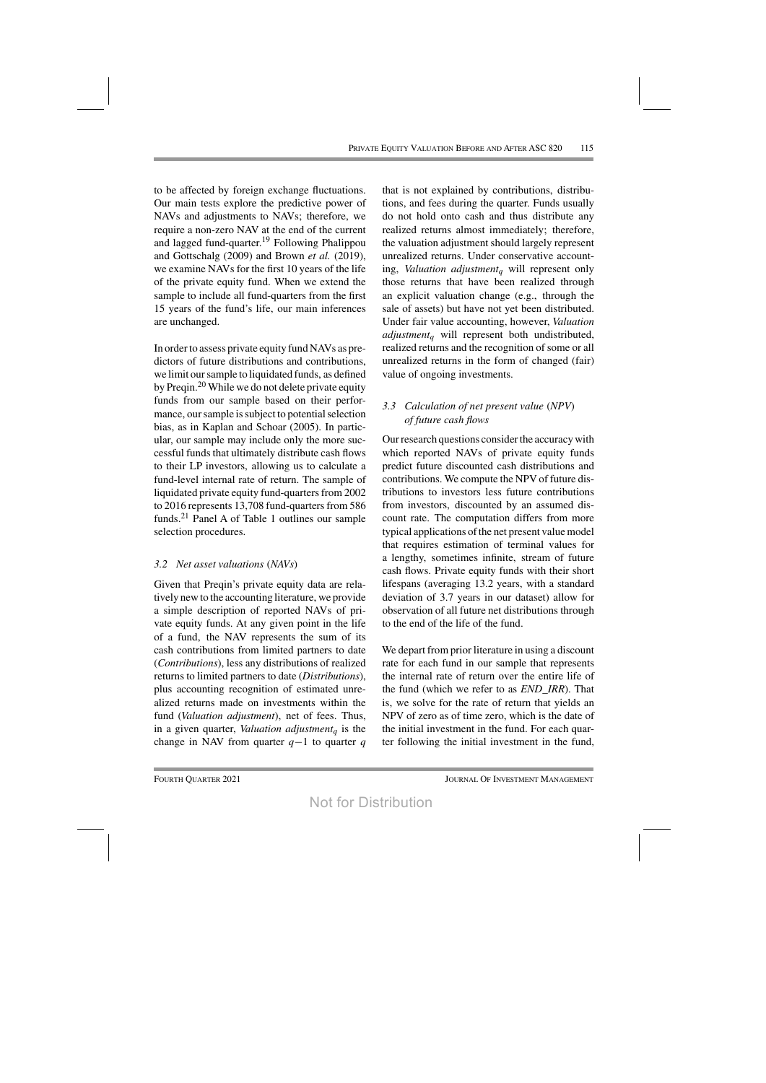to be affected by foreign exchange fluctuations. Our main tests explore the predictive power of NAVs and adjustments to NAVs; therefore, we require a non-zero NAV at the end of the current and lagged fund-quarter. <sup>19</sup> Following Phalippou and Gottschalg (2009) and Brown *et al.* (2019), we examine NAVs for the first 10 years of the life of the private equity fund. When we extend the sample to include all fund-quarters from the first 15 years of the fund's life, our main inferences are unchanged.

In order to assess private equity fund NAVs as predictors of future distributions and contributions, we limit oursample to liquidated funds, as defined by Preqin.<sup>20</sup> While we do not delete private equity funds from our sample based on their performance, our sample is subject to potential selection bias, as in Kaplan and Schoar (2005). In particular, our sample may include only the more successful funds that ultimately distribute cash flows to their LP investors, allowing us to calculate a fund-level internal rate of return. The sample of liquidated private equity fund-quarters from 2002 to 2016 represents 13,708 fund-quarters from 586 funds.21 Panel A of Table 1 outlines our sample selection procedures.

# *3.2 Net asset valuations (NAVs)*

Given that Preqin's private equity data are relatively new to the accounting literature, we provide a simple description of reported NAVs of private equity funds. At any given point in the life of a fund, the NAV represents the sum of its cash contributions from limited partners to date (*Contributions*), less any distributions of realized returns to limited partners to date (*Distributions*), plus accounting recognition of estimated unrealized returns made on investments within the fund (*Valuation adjustment*), net of fees. Thus, in a given quarter, *Valuation adjustment<sup>q</sup>* is the change in NAV from quarter *q*−1 to quarter *q*

that is not explained by contributions, distributions, and fees during the quarter. Funds usually do not hold onto cash and thus distribute any realized returns almost immediately; therefore, the valuation adjustment should largely represent unrealized returns. Under conservative accounting, *Valuation adjustment<sup>q</sup>* will represent only those returns that have been realized through an explicit valuation change (e.g., through the sale of assets) but have not yet been distributed. Under fair value accounting, however, *Valuation adjustment<sup>q</sup>* will represent both undistributed, realized returns and the recognition of some or all unrealized returns in the form of changed (fair) value of ongoing investments.

# *3.3 Calculation of net present value (NPV) of future cash flows*

Our research questions consider the accuracy with which reported NAVs of private equity funds predict future discounted cash distributions and contributions. We compute the NPV of future distributions to investors less future contributions from investors, discounted by an assumed discount rate. The computation differs from more typical applications of the net present value model that requires estimation of terminal values for a lengthy, sometimes infinite, stream of future cash flows. Private equity funds with their short lifespans (averaging 13.2 years, with a standard deviation of 3.7 years in our dataset) allow for observation of all future net distributions through to the end of the life of the fund.

We depart from prior literature in using a discount rate for each fund in our sample that represents the internal rate of return over the entire life of the fund (which we refer to as *END\_IRR*). That is, we solve for the rate of return that yields an NPV of zero as of time zero, which is the date of the initial investment in the fund. For each quarter following the initial investment in the fund,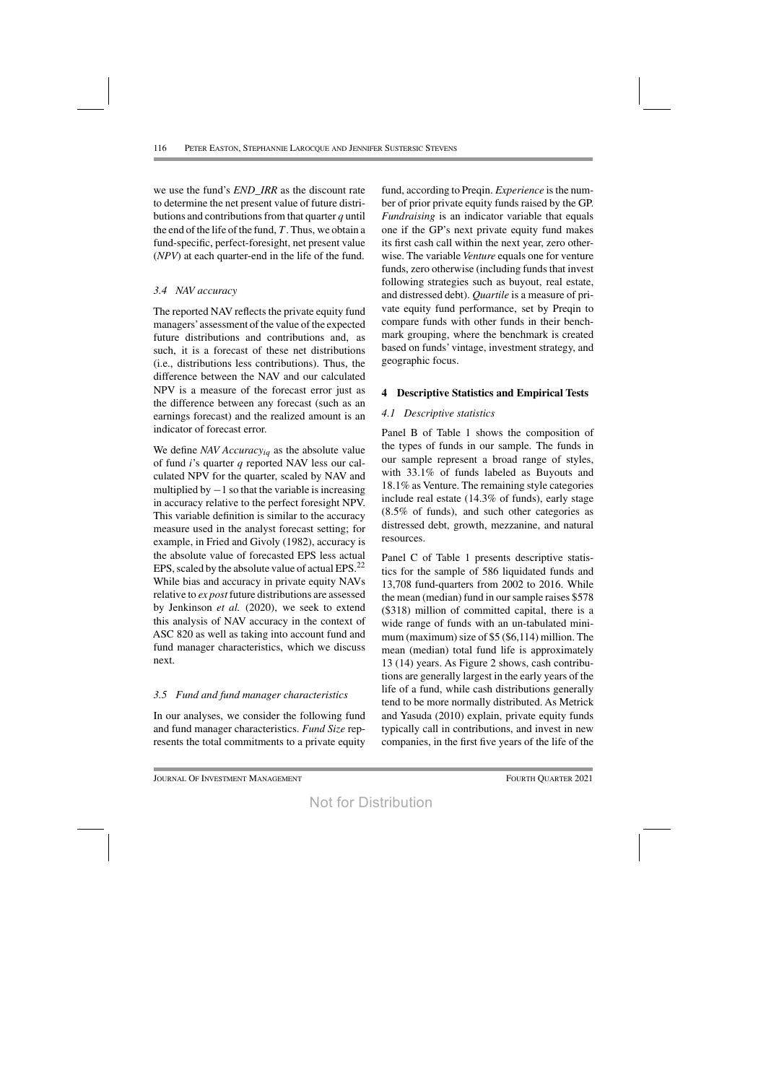we use the fund's *END\_IRR* as the discount rate to determine the net present value of future distributions and contributionsfrom that quarter *q* until the end of the life of the fund,  $T$ . Thus, we obtain a fund-specific, perfect-foresight, net present value (*NPV*) at each quarter-end in the life of the fund.

# *3.4 NAV accuracy*

The reported NAV reflects the private equity fund managers' assessment of the value of the expected future distributions and contributions and, as such, it is a forecast of these net distributions (i.e., distributions less contributions). Thus, the difference between the NAV and our calculated NPV is a measure of the forecast error just as the difference between any forecast (such as an earnings forecast) and the realized amount is an indicator of forecast error.

We define *NAV Accuracyiq* as the absolute value of fund *i*'s quarter *q* reported NAV less our calculated NPV for the quarter, scaled by NAV and multiplied by  $-1$  so that the variable is increasing in accuracy relative to the perfect foresight NPV. This variable definition is similar to the accuracy measure used in the analyst forecast setting; for example, in Fried and Givoly (1982), accuracy is the absolute value of forecasted EPS less actual EPS, scaled by the absolute value of actual EPS. $^{22}$ While bias and accuracy in private equity NAVs relative to *ex post* future distributions are assessed by Jenkinson *et al.* (2020), we seek to extend this analysis of NAV accuracy in the context of ASC 820 as well as taking into account fund and fund manager characteristics, which we discuss next.

# *3.5 Fund and fund manager characteristics*

In our analyses, we consider the following fund and fund manager characteristics. *Fund Size* represents the total commitments to a private equity fund, according to Preqin. *Experience* isthe number of prior private equity funds raised by the GP. *Fundraising* is an indicator variable that equals one if the GP's next private equity fund makes its first cash call within the next year, zero otherwise. The variable *Venture* equals one for venture funds, zero otherwise (including funds that invest following strategies such as buyout, real estate, and distressed debt). *Quartile* is a measure of private equity fund performance, set by Preqin to compare funds with other funds in their benchmark grouping, where the benchmark is created based on funds' vintage, investment strategy, and geographic focus.

# **4 Descriptive Statistics and Empirical Tests**

# *4.1 Descriptive statistics*

Panel B of Table 1 shows the composition of the types of funds in our sample. The funds in our sample represent a broad range of styles, with 33.1% of funds labeled as Buyouts and 18.1% as Venture. The remaining style categories include real estate (14.3% of funds), early stage (8.5% of funds), and such other categories as distressed debt, growth, mezzanine, and natural resources.

Panel C of Table 1 presents descriptive statistics for the sample of 586 liquidated funds and 13,708 fund-quarters from 2002 to 2016. While the mean (median) fund in oursample raises \$578 (\$318) million of committed capital, there is a wide range of funds with an un-tabulated minimum (maximum) size of  $$5$  (\$6,114) million. The mean (median) total fund life is approximately 13 (14) years. As Figure 2 shows, cash contributions are generally largest in the early years of the life of a fund, while cash distributions generally tend to be more normally distributed. As Metrick and Yasuda (2010) explain, private equity funds typically call in contributions, and invest in new companies, in the first five years of the life of the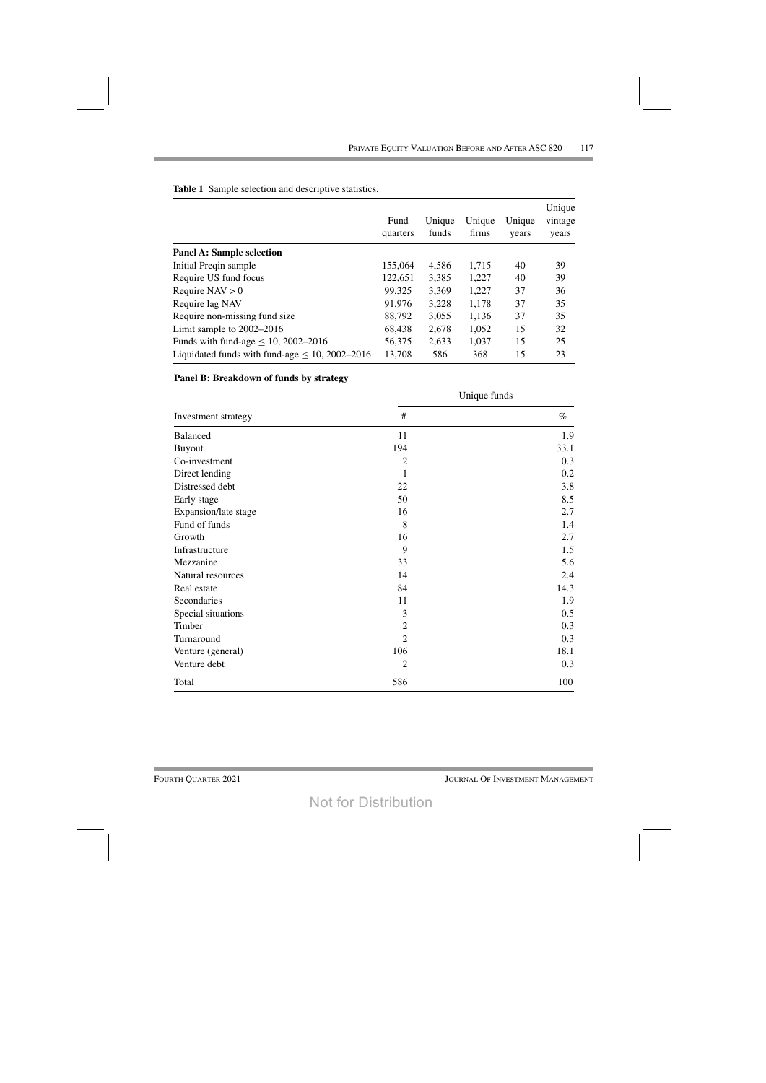|                                                      | Fund<br>quarters | Unique<br>funds | Unique<br>firms | Unique<br>years | Unique<br>vintage<br>years |
|------------------------------------------------------|------------------|-----------------|-----------------|-----------------|----------------------------|
| <b>Panel A: Sample selection</b>                     |                  |                 |                 |                 |                            |
| Initial Preqin sample                                | 155,064          | 4,586           | 1,715           | 40              | 39                         |
| Require US fund focus                                | 122,651          | 3,385           | 1,227           | 40              | 39                         |
| Require $NAV > 0$                                    | 99,325           | 3,369           | 1,227           | 37              | 36                         |
| Require lag NAV                                      | 91,976           | 3,228           | 1,178           | 37              | 35                         |
| Require non-missing fund size                        | 88,792           | 3,055           | 1,136           | 37              | 35                         |
| Limit sample to $2002-2016$                          | 68,438           | 2,678           | 1,052           | 15              | 32                         |
| Funds with fund-age $\leq 10$ , 2002–2016            | 56,375           | 2,633           | 1,037           | 15              | 25                         |
| Liquidated funds with fund-age $\leq 10$ , 2002–2016 | 13,708           | 586             | 368             | 15              | 23                         |

Table 1 Sample selection and descriptive statistics.

# Panel B: Breakdown of funds by strategy

|                      |                | Unique funds |  |
|----------------------|----------------|--------------|--|
| Investment strategy  | #              | $\%$         |  |
| <b>Balanced</b>      | 11             | 1.9          |  |
| <b>Buyout</b>        | 194            | 33.1         |  |
| Co-investment        | $\overline{2}$ | 0.3          |  |
| Direct lending       | 1              | 0.2          |  |
| Distressed debt      | 22             | 3.8          |  |
| Early stage          | 50             | 8.5          |  |
| Expansion/late stage | 16             | 2.7          |  |
| Fund of funds        | 8              | 1.4          |  |
| Growth               | 16             | 2.7          |  |
| Infrastructure       | 9              | 1.5          |  |
| Mezzanine            | 33             | 5.6          |  |
| Natural resources    | 14             | 2.4          |  |
| Real estate          | 84             | 14.3         |  |
| Secondaries          | 11             | 1.9          |  |
| Special situations   | 3              | 0.5          |  |
| Timber               | $\overline{2}$ | 0.3          |  |
| Turnaround           | $\overline{2}$ | 0.3          |  |
| Venture (general)    | 106            | 18.1         |  |
| Venture debt         | $\overline{2}$ | 0.3          |  |
| Total                | 586            | 100          |  |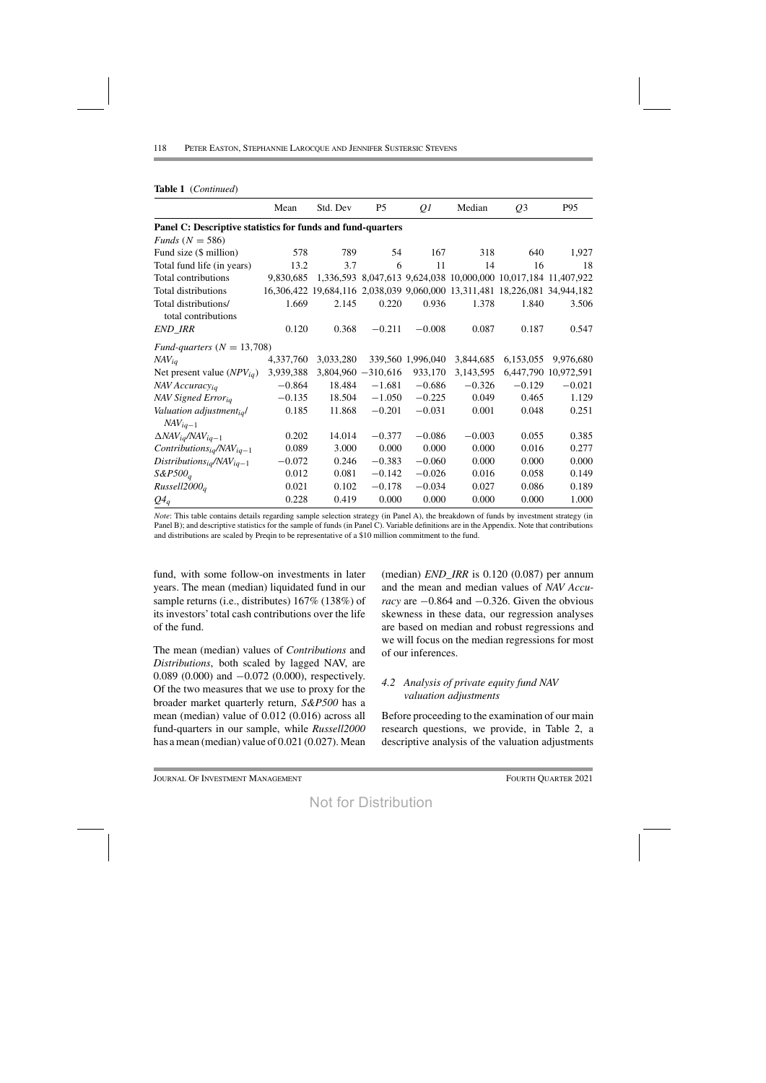|                                                             | Mean      | Std. Dev  | P <sub>5</sub>        | Q <sub>1</sub>    | Median    | Q <sub>3</sub>                                                             | P95                  |  |  |  |
|-------------------------------------------------------------|-----------|-----------|-----------------------|-------------------|-----------|----------------------------------------------------------------------------|----------------------|--|--|--|
| Panel C: Descriptive statistics for funds and fund-quarters |           |           |                       |                   |           |                                                                            |                      |  |  |  |
| Funds ( $N = 586$ )                                         |           |           |                       |                   |           |                                                                            |                      |  |  |  |
| Fund size (\$ million)                                      | 578       | 789       | 54                    | 167               | 318       | 640                                                                        | 1,927                |  |  |  |
| Total fund life (in years)                                  | 13.2      | 3.7       | 6                     | 11                | 14        | 16                                                                         | 18                   |  |  |  |
| Total contributions                                         | 9,830,685 |           |                       |                   |           | 1,336,593 8,047,613 9,624,038 10,000,000 10,017,184 11,407,922             |                      |  |  |  |
| Total distributions                                         |           |           |                       |                   |           | 16,306,422 19,684,116 2,038,039 9,060,000 13,311,481 18,226,081 34,944,182 |                      |  |  |  |
| Total distributions/                                        | 1.669     | 2.145     | 0.220                 | 0.936             | 1.378     | 1.840                                                                      | 3.506                |  |  |  |
| total contributions                                         |           |           |                       |                   |           |                                                                            |                      |  |  |  |
| END_IRR                                                     | 0.120     | 0.368     | $-0.211$              | $-0.008$          | 0.087     | 0.187                                                                      | 0.547                |  |  |  |
| Fund-quarters $(N = 13,708)$                                |           |           |                       |                   |           |                                                                            |                      |  |  |  |
| $NAV_{iq}$                                                  | 4,337,760 | 3,033,280 |                       | 339,560 1,996,040 | 3,844,685 | 6,153,055                                                                  | 9,976,680            |  |  |  |
| Net present value $(NPV_{iq})$                              | 3,939,388 |           | $3,804,960 - 310,616$ | 933,170           | 3,143,595 |                                                                            | 6,447,790 10,972,591 |  |  |  |
| NAV Accuracyiq                                              | $-0.864$  | 18.484    | $-1.681$              | $-0.686$          | $-0.326$  | $-0.129$                                                                   | $-0.021$             |  |  |  |
| NAV Signed Errorig                                          | $-0.135$  | 18.504    | $-1.050$              | $-0.225$          | 0.049     | 0.465                                                                      | 1.129                |  |  |  |
| Valuation adjustmentigl                                     | 0.185     | 11.868    | $-0.201$              | $-0.031$          | 0.001     | 0.048                                                                      | 0.251                |  |  |  |
| $NAV_{iq-1}$                                                |           |           |                       |                   |           |                                                                            |                      |  |  |  |
| $\Delta NAV_{iq}/NAV_{iq-1}$                                | 0.202     | 14.014    | $-0.377$              | $-0.086$          | $-0.003$  | 0.055                                                                      | 0.385                |  |  |  |
| Contributions <sub>ig</sub> /NAV <sub>iq-1</sub>            | 0.089     | 3.000     | 0.000                 | 0.000             | 0.000     | 0.016                                                                      | 0.277                |  |  |  |
| $Distributions_{iq}/NAV_{iq-1}$                             | $-0.072$  | 0.246     | $-0.383$              | $-0.060$          | 0.000     | 0.000                                                                      | 0.000                |  |  |  |
| $S\&P500_q$                                                 | 0.012     | 0.081     | $-0.142$              | $-0.026$          | 0.016     | 0.058                                                                      | 0.149                |  |  |  |
| Russell2000 <sub>a</sub>                                    | 0.021     | 0.102     | $-0.178$              | $-0.034$          | 0.027     | 0.086                                                                      | 0.189                |  |  |  |
| $Q_4$                                                       | 0.228     | 0.419     | 0.000                 | 0.000             | 0.000     | 0.000                                                                      | 1.000                |  |  |  |

Note: This table contains details regarding sample selection strategy (in Panel A), the breakdown of funds by investment strategy (in Panel B); and descriptive statistics for the sample of funds (in Panel C). Variable definitions are in the Appendix. Note that contributions and distributions are scaled by Preqin to be representative of a \$10 million commitment to the fund.

fund, with some follow-on investments in later years. The mean (median) liquidated fund in our sample returns (i.e., distributes) 167% (138%) of its investors' total cash contributions over the life of the fund.

The mean (median) values of *Contributions* and Distributions, both scaled by lagged NAV, are 0.089 (0.000) and  $-0.072$  (0.000), respectively. Of the two measures that we use to proxy for the broader market quarterly return, S&P500 has a mean (median) value of 0.012 (0.016) across all fund-quarters in our sample, while Russell2000 has a mean (median) value of  $0.021$  ( $0.027$ ). Mean

(median)  $END\_IRR$  is 0.120 (0.087) per annum and the mean and median values of NAV Accuracy are  $-0.864$  and  $-0.326$ . Given the obvious skewness in these data, our regression analyses are based on median and robust regressions and we will focus on the median regressions for most of our inferences.

# 4.2 Analysis of private equity fund NAV valuation adjustments

Before proceeding to the examination of our main research questions, we provide, in Table 2, a descriptive analysis of the valuation adjustments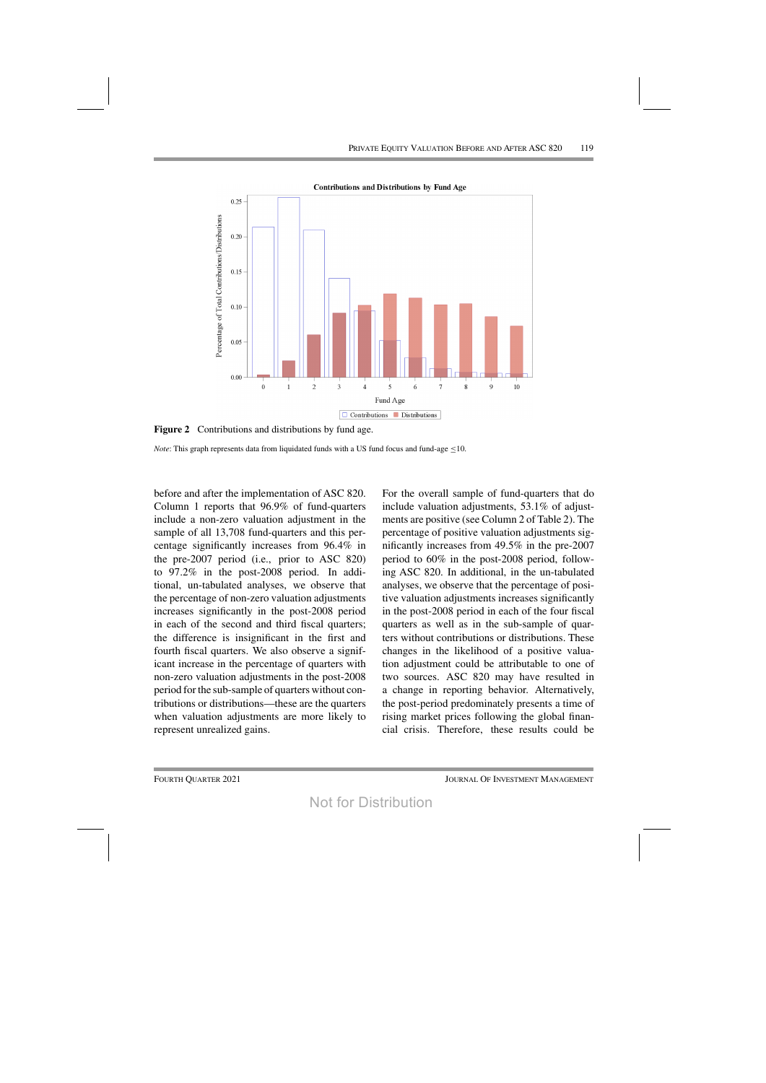

**Figure 2** Contributions and distributions by fund age.

*Note*: This graph represents data from liquidated funds with a US fund focus and fund-age  $\leq$ 10.

before and after the implementation of ASC 820. Column 1 reports that 96.9% of fund-quarters include a non-zero valuation adjustment in the sample of all 13,708 fund-quarters and this percentage significantly increases from 96.4% in the pre-2007 period (i.e., prior to ASC 820) to 97.2% in the post-2008 period. In additional, un-tabulated analyses, we observe that the percentage of non-zero valuation adjustments increases significantly in the post-2008 period in each of the second and third fiscal quarters; the difference is insignificant in the first and fourth fiscal quarters. We also observe a significant increase in the percentage of quarters with non-zero valuation adjustments in the post-2008 period for the sub-sample of quarters without contributions or distributions—these are the quarters when valuation adjustments are more likely to represent unrealized gains.

For the overall sample of fund-quarters that do include valuation adjustments, 53.1% of adjustments are positive (see Column 2 of Table 2). The percentage of positive valuation adjustments significantly increases from 49.5% in the pre-2007 period to 60% in the post-2008 period, following ASC 820. In additional, in the un-tabulated analyses, we observe that the percentage of positive valuation adjustments increases significantly in the post-2008 period in each of the four fiscal quarters as well as in the sub-sample of quarters without contributions or distributions. These changes in the likelihood of a positive valuation adjustment could be attributable to one of two sources. ASC 820 may have resulted in a change in reporting behavior. Alternatively, the post-period predominately presents a time of rising market prices following the global financial crisis. Therefore, these results could be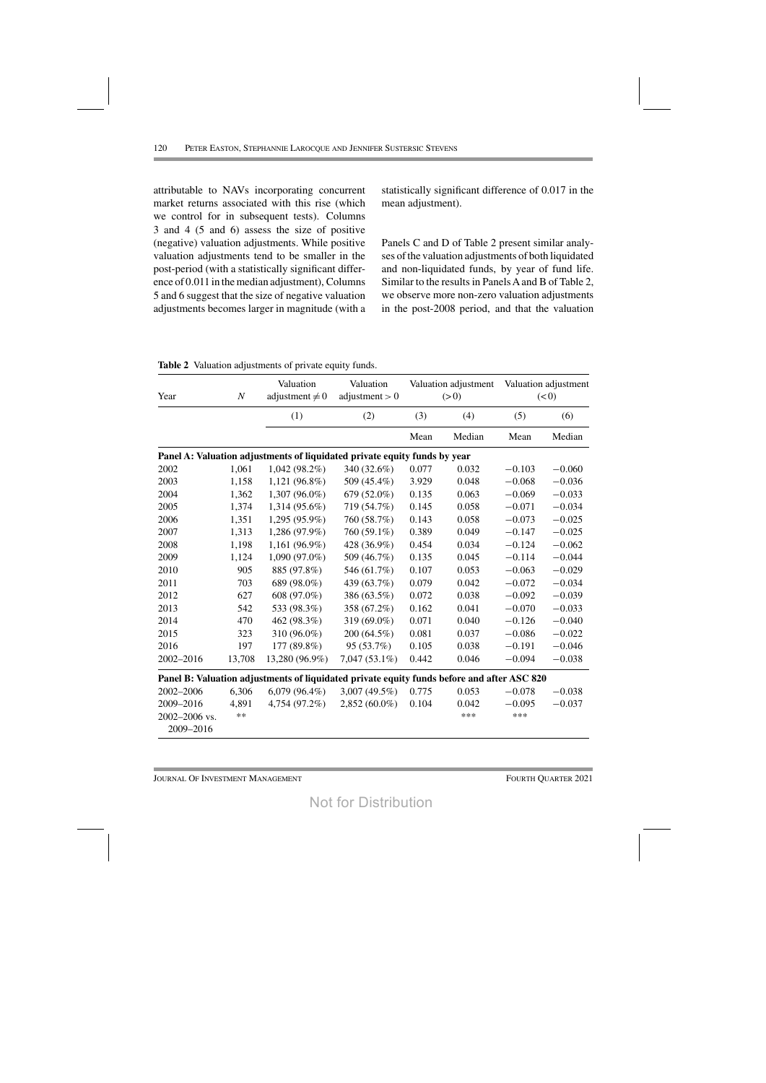attributable to NAVs incorporating concurrent market returns associated with this rise (which we control for in subsequent tests). Columns 3 and 4 (5 and 6) assess the size of positive (negative) valuation adjustments. While positive valuation adjustments tend to be smaller in the post-period (with a statistically significant difference of 0.011 in the median adjustment), Columns 5 and 6 suggest that the size of negative valuation adjustments becomes larger in magnitude (with a statistically significant difference of 0.017 in the mean adjustment).

Panels C and D of Table 2 present similar analyses of the valuation adjustments of both liquidated and non-liquidated funds, by year of fund life. Similar to the results in Panels A and B of Table 2. we observe more non-zero valuation adjustments in the post-2008 period, and that the valuation

Table 2 Valuation adjustments of private equity funds.

| Year<br>$\cal N$           |            | Valuation<br>adjustment $\neq 0$                                                           | Valuation<br>adjustment $> 0$ |       | Valuation adjustment<br>(> 0) | Valuation adjustment<br>(< 0) |          |
|----------------------------|------------|--------------------------------------------------------------------------------------------|-------------------------------|-------|-------------------------------|-------------------------------|----------|
|                            |            | (1)                                                                                        | (2)                           | (3)   | (4)                           | (5)                           | (6)      |
|                            |            |                                                                                            |                               | Mean  | Median                        | Mean                          | Median   |
|                            |            | Panel A: Valuation adjustments of liquidated private equity funds by year                  |                               |       |                               |                               |          |
| 2002                       | 1,061      | $1,042(98.2\%)$                                                                            | 340 (32.6%)                   | 0.077 | 0.032                         | $-0.103$                      | $-0.060$ |
| 2003                       | 1,158      | 1,121 (96.8%)                                                                              | 509 (45.4%)                   | 3.929 | 0.048                         | $-0.068$                      | $-0.036$ |
| 2004                       | 1,362      | 1,307 (96.0%)                                                                              | 679 (52.0%)                   | 0.135 | 0.063                         | $-0.069$                      | $-0.033$ |
| 2005                       | 1,374      | 1,314 (95.6%)                                                                              | 719 (54.7%)                   | 0.145 | 0.058                         | $-0.071$                      | $-0.034$ |
| 2006                       | 1,351      | 1,295 (95.9%)                                                                              | 760 (58.7%)                   | 0.143 | 0.058                         | $-0.073$                      | $-0.025$ |
| 2007                       | 1,313      | 1,286 (97.9%)                                                                              | 760 (59.1%)                   | 0.389 | 0.049                         | $-0.147$                      | $-0.025$ |
| 2008                       | 1,198      | 1,161 (96.9%)                                                                              | 428 (36.9%)                   | 0.454 | 0.034                         | $-0.124$                      | $-0.062$ |
| 2009                       | 1,124      | $1,090(97.0\%)$                                                                            | 509 (46.7%)                   | 0.135 | 0.045                         | $-0.114$                      | $-0.044$ |
| 2010                       | 905        | 885 (97.8%)                                                                                | 546 (61.7%)                   | 0.107 | 0.053                         | $-0.063$                      | $-0.029$ |
| 2011                       | 703        | 689 (98.0%)                                                                                | 439 (63.7%)                   | 0.079 | 0.042                         | $-0.072$                      | $-0.034$ |
| 2012                       | 627        | 608 (97.0%)                                                                                | 386 (63.5%)                   | 0.072 | 0.038                         | $-0.092$                      | $-0.039$ |
| 2013                       | 542        | 533 (98.3%)                                                                                | 358 (67.2%)                   | 0.162 | 0.041                         | $-0.070$                      | $-0.033$ |
| 2014                       | 470        | 462 (98.3%)                                                                                | 319 (69.0%)                   | 0.071 | 0.040                         | $-0.126$                      | $-0.040$ |
| 2015                       | 323        | 310 (96.0%)                                                                                | 200 (64.5%)                   | 0.081 | 0.037                         | $-0.086$                      | $-0.022$ |
| 2016                       | 197        | 177 (89.8%)                                                                                | 95 (53.7%)                    | 0.105 | 0.038                         | $-0.191$                      | $-0.046$ |
| 2002-2016                  | 13,708     | 13,280 (96.9%)                                                                             | $7,047(53.1\%)$               | 0.442 | 0.046                         | $-0.094$                      | $-0.038$ |
|                            |            | Panel B: Valuation adjustments of liquidated private equity funds before and after ASC 820 |                               |       |                               |                               |          |
| 2002-2006                  | 6,306      | $6,079(96.4\%)$                                                                            | 3,007 (49.5%)                 | 0.775 | 0.053                         | $-0.078$                      | $-0.038$ |
| 2009-2016                  | 4,891      | 4,754 (97.2%)                                                                              | $2,852(60.0\%)$               | 0.104 | 0.042                         | $-0.095$                      | $-0.037$ |
| 2002-2006 vs.<br>2009-2016 | $\ast\ast$ |                                                                                            |                               |       | ***                           | ***                           |          |

**JOURNAL OF INVESTMENT MANAGEMENT**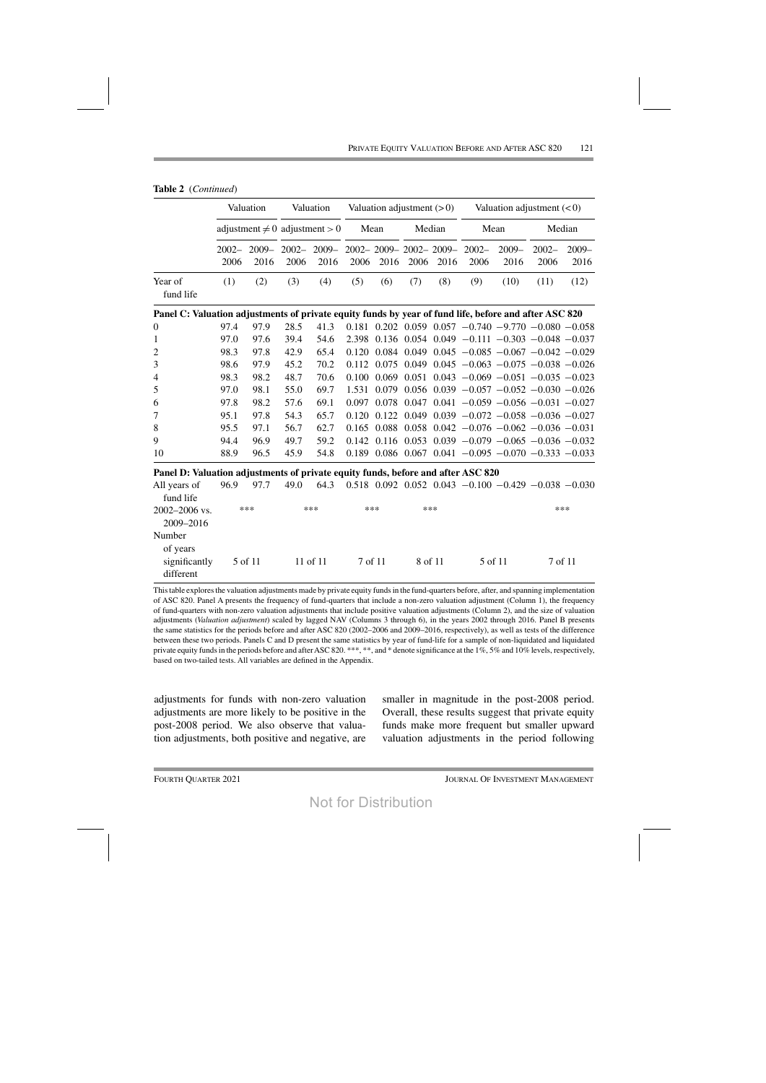|                                                                                                       | Valuation |                                    |                  | Valuation        | Valuation adjustment $(>0)$ |       |             | Valuation adjustment $(< 0)$          |                  |                                                                     |                  |                  |
|-------------------------------------------------------------------------------------------------------|-----------|------------------------------------|------------------|------------------|-----------------------------|-------|-------------|---------------------------------------|------------------|---------------------------------------------------------------------|------------------|------------------|
|                                                                                                       |           | adjustment $\neq 0$ adjustment > 0 |                  |                  | Mean                        |       | Median      |                                       | Mean             |                                                                     | Median           |                  |
|                                                                                                       | 2006      | $2002 - 2009 -$<br>2016            | $2002 -$<br>2006 | $2009 -$<br>2016 | 2006                        | 2016  | 2006        | $2002 - 2009 - 2002 - 2009 -$<br>2016 | $2002 -$<br>2006 | $2009 -$<br>2016                                                    | $2002 -$<br>2006 | $2009 -$<br>2016 |
| Year of<br>fund life                                                                                  | (1)       | (2)                                | (3)              | (4)              | (5)                         | (6)   | (7)         | (8)                                   | (9)              | (10)                                                                | (11)             | (12)             |
| Panel C: Valuation adjustments of private equity funds by year of fund life, before and after ASC 820 |           |                                    |                  |                  |                             |       |             |                                       |                  |                                                                     |                  |                  |
| 0                                                                                                     | 97.4      | 97.9                               | 28.5             | 41.3             |                             |       |             |                                       |                  | $0.181$ $0.202$ $0.059$ $0.057$ $-0.740$ $-9.770$ $-0.080$ $-0.058$ |                  |                  |
| $\mathbf{1}$                                                                                          | 97.0      | 97.6                               | 39.4             | 54.6             |                             |       |             |                                       |                  | $2.398$ 0.136 0.054 0.049 -0.111 -0.303 -0.048 -0.037               |                  |                  |
| $\overline{c}$                                                                                        | 98.3      | 97.8                               | 42.9             | 65.4             | 0.120                       |       |             |                                       |                  | $0.084$ 0.049 0.045 $-0.085$ $-0.067$ $-0.042$ $-0.029$             |                  |                  |
| 3                                                                                                     | 98.6      | 97.9                               | 45.2             | 70.2             | 0.112                       |       | 0.075 0.049 |                                       |                  | $0.045 -0.063 -0.075 -0.038 -0.026$                                 |                  |                  |
| 4                                                                                                     | 98.3      | 98.2                               | 48.7             | 70.6             | 0.100                       | 0.069 |             |                                       |                  | $0.051$ $0.043$ $-0.069$ $-0.051$ $-0.035$ $-0.023$                 |                  |                  |
| 5                                                                                                     | 97.0      | 98.1                               | 55.0             | 69.7             | 1.531                       | 0.079 |             |                                       |                  | $0.056$ $0.039$ $-0.057$ $-0.052$ $-0.030$ $-0.026$                 |                  |                  |
| 6                                                                                                     | 97.8      | 98.2                               | 57.6             | 69.1             | 0.097                       |       |             |                                       |                  | $0.078$ 0.047 0.041 -0.059 -0.056 -0.031 -0.027                     |                  |                  |
| 7                                                                                                     | 95.1      | 97.8                               | 54.3             | 65.7             | 0.120                       |       |             |                                       |                  | $0.122$ $0.049$ $0.039$ $-0.072$ $-0.058$ $-0.036$ $-0.027$         |                  |                  |
| 8                                                                                                     | 95.5      | 97.1                               | 56.7             | 62.7             | 0.165                       |       |             |                                       |                  | $0.088$ $0.058$ $0.042$ $-0.076$ $-0.062$ $-0.036$ $-0.031$         |                  |                  |
| 9                                                                                                     | 94.4      | 96.9                               | 49.7             | 59.2             | 0.142                       |       |             |                                       |                  | $0.116$ $0.053$ $0.039$ $-0.079$ $-0.065$ $-0.036$ $-0.032$         |                  |                  |
| 10                                                                                                    | 88.9      | 96.5                               | 45.9             | 54.8             | 0.189                       |       |             |                                       |                  | $0.086$ $0.067$ $0.041$ $-0.095$ $-0.070$ $-0.333$ $-0.033$         |                  |                  |
| Panel D: Valuation adjustments of private equity funds, before and after ASC 820                      |           |                                    |                  |                  |                             |       |             |                                       |                  |                                                                     |                  |                  |
| All years of                                                                                          | 96.9      | 97.7                               | 49.0             | 64.3             |                             |       |             |                                       |                  | $0.518$ $0.092$ $0.052$ $0.043$ $-0.100$ $-0.429$ $-0.038$ $-0.030$ |                  |                  |

| ган усаіз он  |         |          |         |         | $70.7$ $71.1$ $77.0$ $07.5$ $0.010$ $0.072$ $0.002$ $0.077$ $-0.100$ $-0.727$ $-0.000$ $-0.00$ |         |
|---------------|---------|----------|---------|---------|------------------------------------------------------------------------------------------------|---------|
| fund life     |         |          |         |         |                                                                                                |         |
| 2002–2006 vs. | ***     | $***$    | $***$   | $***$   |                                                                                                | ***     |
| 2009-2016     |         |          |         |         |                                                                                                |         |
| Number        |         |          |         |         |                                                                                                |         |
| of years      |         |          |         |         |                                                                                                |         |
| significantly | 5 of 11 | 11 of 11 | 7 of 11 | 8 of 11 | 5 of 11                                                                                        | 7 of 11 |
| different     |         |          |         |         |                                                                                                |         |

This table explores the valuation adjustments made by private equity funds in the fund-quarters before, after, and spanning implementation of ASC 820. Panel A presents the frequency of fund-quarters that include a non-zero valuation adjustment (Column 1), the frequency of fund-quarters with non-zero valuation adjustments that include positive valuation adjustments (Column 2), and the size of valuation adjustments (Valuation adjustment) scaled by lagged NAV (Columns 3 through 6), in the years 2002 through 2016. Panel B presents the same statistics for the periods before and after ASC 820 (2002-2006 and 2009-2016, respectively), as well as tests of the difference between these two periods. Panels C and D present the same statistics by year of fund-life for a sample of non-liquidated and liquidated private equity funds in the periods before and after ASC 820. \*\*\*, \*\*, and \* denote significance at the 1%, 5% and 10% levels, respectively, based on two-tailed tests. All variables are defined in the Appendix.

adjustments for funds with non-zero valuation adjustments are more likely to be positive in the post-2008 period. We also observe that valuation adjustments, both positive and negative, are

smaller in magnitude in the post-2008 period. Overall, these results suggest that private equity funds make more frequent but smaller upward valuation adjustments in the period following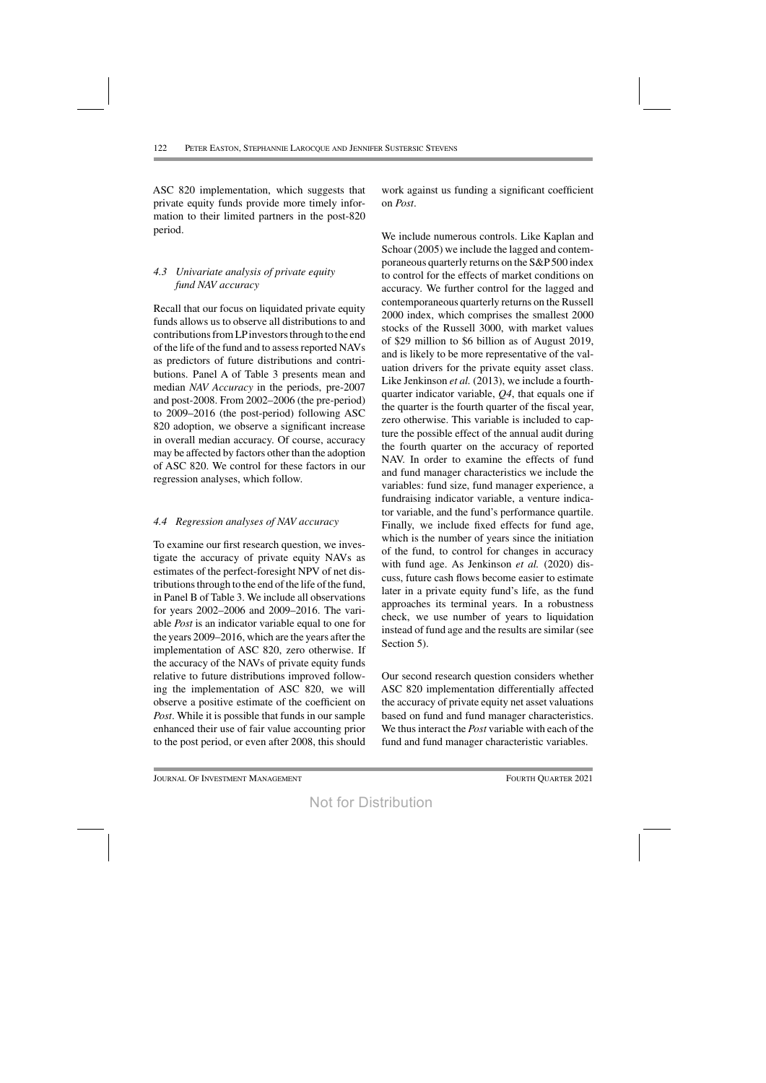ASC 820 implementation, which suggests that private equity funds provide more timely information to their limited partners in the post-820 period.

# *4.3 Univariate analysis of private equity fund NAV accuracy*

Recall that our focus on liquidated private equity funds allows us to observe all distributions to and contributions from LP investors through to the end of the life of the fund and to assessreported NAVs as predictors of future distributions and contributions. Panel A of Table 3 presents mean and median *NAV Accuracy* in the periods, pre-2007 and post-2008. From 2002–2006 (the pre-period) to 2009–2016 (the post-period) following ASC 820 adoption, we observe a significant increase in overall median accuracy. Of course, accuracy may be affected by factors other than the adoption of ASC 820. We control for these factors in our regression analyses, which follow.

# *4.4 Regression analyses of NAV accuracy*

To examine our first research question, we investigate the accuracy of private equity NAVs as estimates of the perfect-foresight NPV of net distributions through to the end of the life of the fund, in Panel B of Table 3. We include all observations for years 2002–2006 and 2009–2016. The variable *Post* is an indicator variable equal to one for the years 2009–2016, which are the years after the implementation of ASC 820, zero otherwise. If the accuracy of the NAVs of private equity funds relative to future distributions improved following the implementation of ASC 820, we will observe a positive estimate of the coefficient on *Post*. While it is possible that funds in our sample enhanced their use of fair value accounting prior to the post period, or even after 2008, this should

work against us funding a significant coefficient on *Post*.

We include numerous controls. Like Kaplan and Schoar (2005) we include the lagged and contemporaneous quarterly returns on the S&P500 index to control for the effects of market conditions on accuracy. We further control for the lagged and contemporaneous quarterly returns on the Russell 2000 index, which comprises the smallest 2000 stocks of the Russell 3000, with market values of \$29 million to \$6 billion as of August 2019, and is likely to be more representative of the valuation drivers for the private equity asset class. Like Jenkinson *et al.* (2013), we include a fourthquarter indicator variable, *Q4*, that equals one if the quarter is the fourth quarter of the fiscal year, zero otherwise. This variable is included to capture the possible effect of the annual audit during the fourth quarter on the accuracy of reported NAV. In order to examine the effects of fund and fund manager characteristics we include the variables: fund size, fund manager experience, a fundraising indicator variable, a venture indicator variable, and the fund's performance quartile. Finally, we include fixed effects for fund age, which is the number of years since the initiation of the fund, to control for changes in accuracy with fund age. As Jenkinson *et al.* (2020) discuss, future cash flows become easier to estimate later in a private equity fund's life, as the fund approaches its terminal years. In a robustness check, we use number of years to liquidation instead of fund age and the results are similar (see Section 5).

Our second research question considers whether ASC 820 implementation differentially affected the accuracy of private equity net asset valuations based on fund and fund manager characteristics. We thus interact the *Post* variable with each of the fund and fund manager characteristic variables.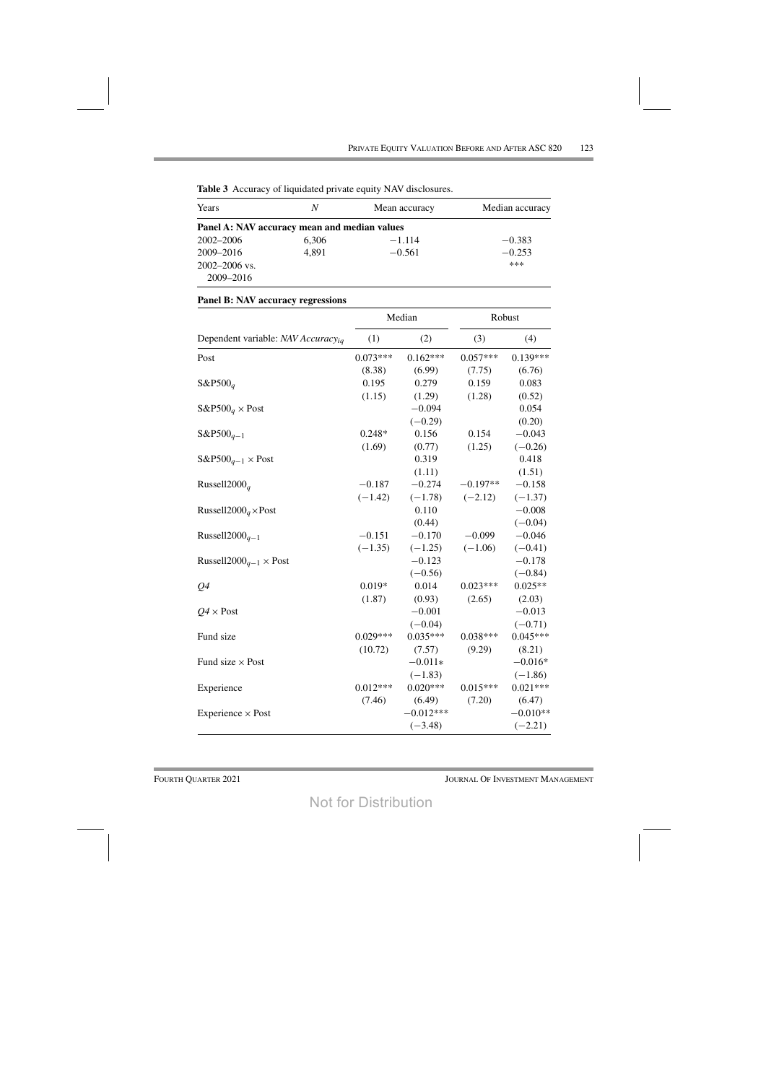ı.

| Years                                        | N     | Mean accuracy | Median accuracy |
|----------------------------------------------|-------|---------------|-----------------|
|                                              |       |               |                 |
| Panel A: NAV accuracy mean and median values |       |               |                 |
| 2002–2006                                    | 6,306 | $-1.114$      | $-0.383$        |
| 2009-2016                                    | 4,891 | $-0.561$      | $-0.253$        |
| $2002 - 2006$ vs.                            |       |               | ***             |
| 2009–2016                                    |       |               |                 |

|  |  |  |  |  | Table 3 Accuracy of liquidated private equity NAV disclosures. |
|--|--|--|--|--|----------------------------------------------------------------|
|--|--|--|--|--|----------------------------------------------------------------|

|                                                |            | Median      | Robust     |            |  |
|------------------------------------------------|------------|-------------|------------|------------|--|
| Dependent variable: NAV Accuracy <sub>iq</sub> | (1)        | (2)         | (3)        | (4)        |  |
| Post                                           | $0.073***$ | $0.162***$  | $0.057***$ | $0.139***$ |  |
|                                                | (8.38)     | (6.99)      | (7.75)     | (6.76)     |  |
| $S\&P500_q$                                    | 0.195      | 0.279       | 0.159      | 0.083      |  |
|                                                | (1.15)     | (1.29)      | (1.28)     | (0.52)     |  |
| $S\&P500q \times Post$                         |            | $-0.094$    |            | 0.054      |  |
|                                                |            | $(-0.29)$   |            | (0.20)     |  |
| $S\&P500_{q-1}$                                | $0.248*$   | 0.156       | 0.154      | $-0.043$   |  |
|                                                | (1.69)     | (0.77)      | (1.25)     | $(-0.26)$  |  |
| $S\&P500_{q-1}\times Post$                     |            | 0.319       |            | 0.418      |  |
|                                                |            | (1.11)      |            | (1.51)     |  |
| Russell2000 $_q$                               | $-0.187$   | $-0.274$    | $-0.197**$ | $-0.158$   |  |
|                                                | $(-1.42)$  | $(-1.78)$   | $(-2.12)$  | $(-1.37)$  |  |
| Russell2000 <sub>a</sub> ×Post                 |            | 0.110       |            | $-0.008$   |  |
|                                                |            | (0.44)      |            | $(-0.04)$  |  |
| Russell2000 $q-1$                              | $-0.151$   | $-0.170$    | $-0.099$   | $-0.046$   |  |
|                                                | $(-1.35)$  | $(-1.25)$   | $(-1.06)$  | $(-0.41)$  |  |
| Russell2000 <sub>q-1</sub> $\times$ Post       |            | $-0.123$    |            | $-0.178$   |  |
|                                                |            | $(-0.56)$   |            | $(-0.84)$  |  |
| Q <sub>4</sub>                                 | $0.019*$   | 0.014       | $0.023***$ | $0.025**$  |  |
|                                                | (1.87)     | (0.93)      | (2.65)     | (2.03)     |  |
| $Q4 \times$ Post                               |            | $-0.001$    |            | $-0.013$   |  |
|                                                |            | $(-0.04)$   |            | $(-0.71)$  |  |
| Fund size                                      | $0.029***$ | $0.035***$  | $0.038***$ | $0.045***$ |  |
|                                                | (10.72)    | (7.57)      | (9.29)     | (8.21)     |  |
| Fund size $\times$ Post                        |            | $-0.011*$   |            | $-0.016*$  |  |
|                                                |            | $(-1.83)$   |            | $(-1.86)$  |  |
| Experience                                     | $0.012***$ | $0.020***$  | $0.015***$ | $0.021***$ |  |
|                                                | (7.46)     | (6.49)      | (7.20)     | (6.47)     |  |
| Experience $\times$ Post                       |            | $-0.012***$ |            | $-0.010**$ |  |
|                                                |            | $(-3.48)$   |            | $(-2.21)$  |  |

# **Panel B: NAV accuracy regressions**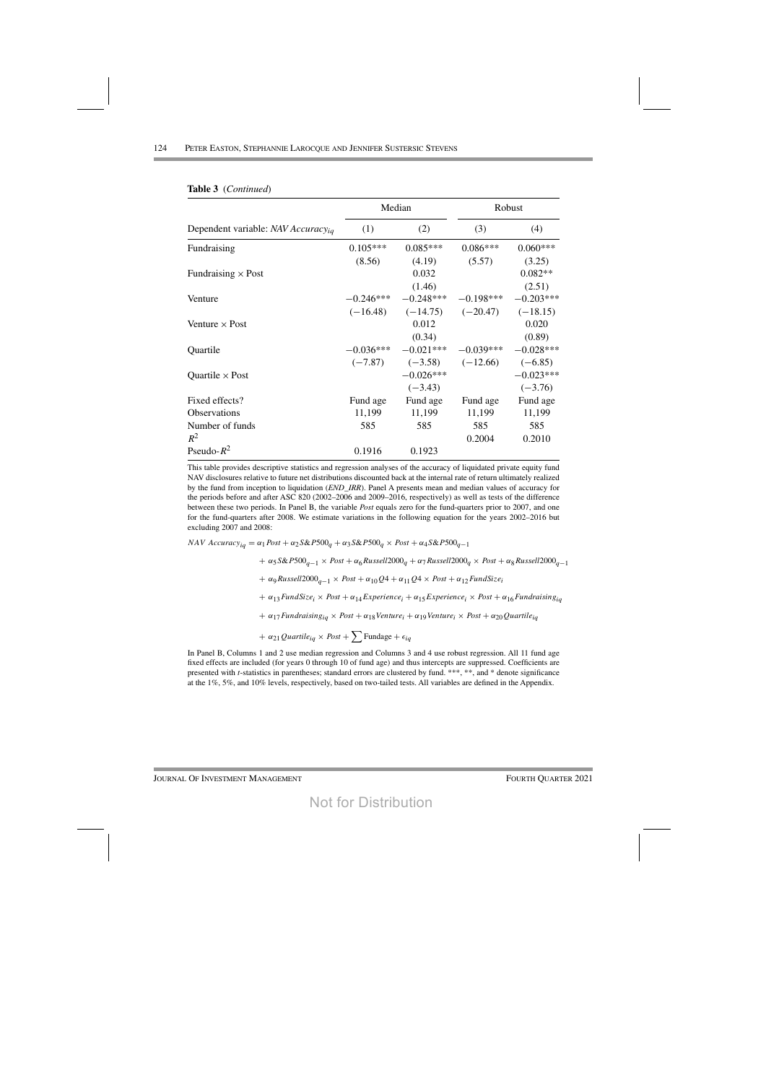|                                                |             | Median      | Robust      |             |  |
|------------------------------------------------|-------------|-------------|-------------|-------------|--|
| Dependent variable: NAV Accuracy <sub>ia</sub> | (1)         | (2)         | (3)         | (4)         |  |
| Fundraising                                    | $0.105***$  | $0.085***$  | $0.086***$  | $0.060***$  |  |
|                                                | (8.56)      | (4.19)      | (5.57)      | (3.25)      |  |
| Fundraising $\times$ Post                      |             | 0.032       |             | $0.082**$   |  |
|                                                |             | (1.46)      |             | (2.51)      |  |
| Venture                                        | $-0.246***$ | $-0.248***$ | $-0.198***$ | $-0.203***$ |  |
|                                                | $(-16.48)$  | $(-14.75)$  | $(-20.47)$  | $(-18.15)$  |  |
| Venture $\times$ Post                          |             | 0.012       |             | 0.020       |  |
|                                                |             | (0.34)      |             | (0.89)      |  |
| Quartile                                       | $-0.036***$ | $-0.021***$ | $-0.039***$ | $-0.028***$ |  |
|                                                | $(-7.87)$   | $(-3.58)$   | $(-12.66)$  | $(-6.85)$   |  |
| Quartile $\times$ Post                         |             | $-0.026***$ |             | $-0.023***$ |  |
|                                                |             | $(-3.43)$   |             | $(-3.76)$   |  |
| Fixed effects?                                 | Fund age    | Fund age    | Fund age    | Fund age    |  |
| <b>Observations</b>                            | 11,199      | 11,199      | 11,199      | 11,199      |  |
| Number of funds                                | 585         | 585         | 585         | 585         |  |
| $R^2$                                          |             |             | 0.2004      | 0.2010      |  |
| Pseudo- $R^2$                                  | 0.1916      | 0.1923      |             |             |  |

#### Table 3 (Continued)

This table provides descriptive statistics and regression analyses of the accuracy of liquidated private equity fund NAV disclosures relative to future net distributions discounted back at the internal rate of return ultimately realized by the fund from inception to liquidation (END\_IRR). Panel A presents mean and median values of accuracy for the periods before and after ASC 820 (2002–2006 and 2009–2016, respectively) as well as tests of the difference between these two periods. In Panel B, the variable *Post* equals zero for the fund-quarters prior to 2007, and one for the fund-quarters after 2008. We estimate variations in the following equation for the years 2002–2016 but excluding 2007 and 2008:

NAV Accuracy<sub>ia</sub> =  $\alpha_1$ Post +  $\alpha_2$ S&P500<sub>q</sub> +  $\alpha_3$ S&P500<sub>q</sub> × Post +  $\alpha_4$ S&P500<sub>q-1</sub>

 $+\alpha_5$ S&P500<sub>a-1</sub> × Post  $+\alpha_6$ Russell2000<sub>a</sub> +  $\alpha_7$ Russell2000<sub>a</sub> × Post +  $\alpha_8$ Russell2000<sub>a-1</sub>  $+ \alpha_9 Russell2000_{q-1} \times Post + \alpha_{10}Q4 + \alpha_{11}Q4 \times Post + \alpha_{12} FundSize_i$  $+ \alpha_{13}$ FundSize<sub>i</sub> × Post  $+ \alpha_{14}$ Experience<sub>i</sub> +  $\alpha_{15}$ Experience<sub>i</sub> × Post +  $\alpha_{16}$ Fundraising<sub>ia</sub> +  $\alpha_{17}$  Fundraising<sub>iq</sub> × Post +  $\alpha_{18}$  Venture<sub>i</sub> +  $\alpha_{19}$  Venture<sub>i</sub> × Post +  $\alpha_{20}$  Quartile<sub>iq</sub>

+  $\alpha_{21}$  Quartile<sub>iq</sub> × Post +  $\sum$  Fundage +  $\epsilon_{iq}$ 

In Panel B, Columns 1 and 2 use median regression and Columns 3 and 4 use robust regression. All 11 fund age fixed effects are included (for years 0 through 10 of fund age) and thus intercepts are suppressed. Coefficients are presented with *t*-statistics in parentheses; standard errors are clustered by fund. \*\*\*, \*\*, and \* denote significance at the  $1\%, 5\%,$  and  $10\%$  levels, respectively, based on two-tailed tests. All variables are defined in the Appendix.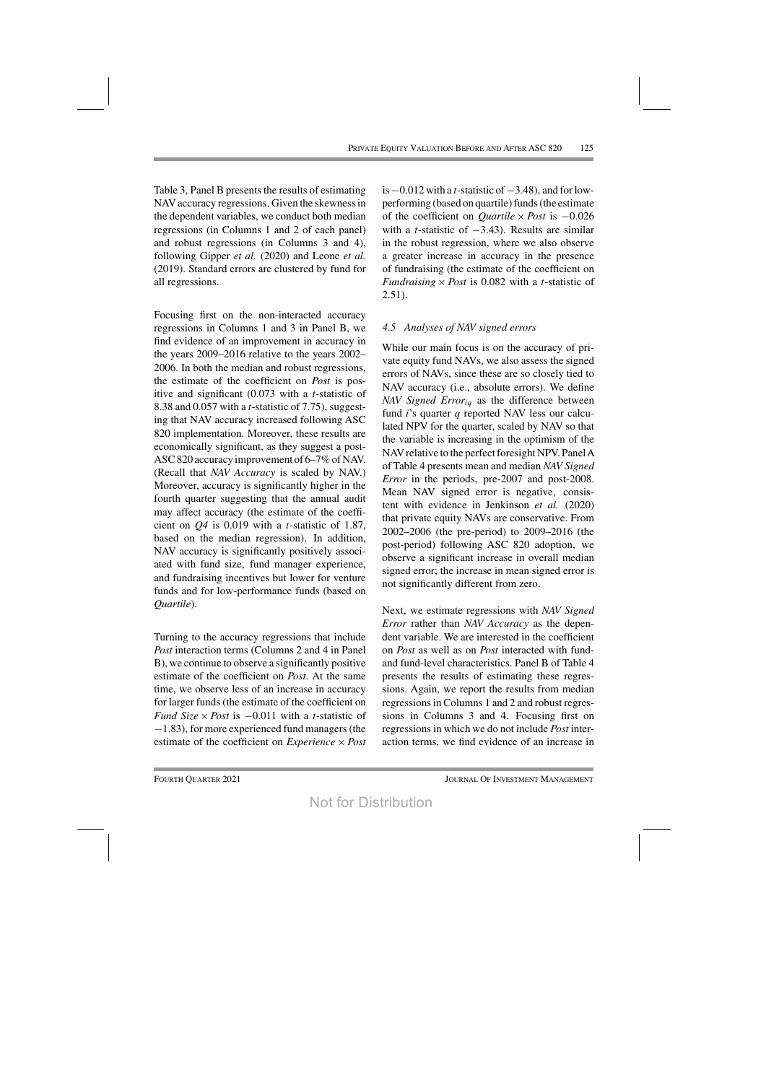Table 3, Panel B presents the results of estimating NAVaccuracy regressions. Given the skewnessin the dependent variables, we conduct both median regressions (in Columns 1 and 2 of each panel) and robust regressions (in Columns 3 and 4), following Gipper *et al.* (2020) and Leone *et al.* (2019). Standard errors are clustered by fund for all regressions.

Focusing first on the non-interacted accuracy regressions in Columns 1 and 3 in Panel B, we find evidence of an improvement in accuracy in the years 2009–2016 relative to the years 2002– 2006. In both the median and robust regressions, the estimate of the coefficient on *Post* is positive and significant (0.073 with a *t*-statistic of 8.38 and 0.057 with a *t*-statistic of 7.75), suggesting that NAV accuracy increased following ASC 820 implementation. Moreover, these results are economically significant, as they suggest a post-ASC820 accuracy improvement of 6–7% of NAV. (Recall that *NAV Accuracy* is scaled by NAV.) Moreover, accuracy is significantly higher in the fourth quarter suggesting that the annual audit may affect accuracy (the estimate of the coefficient on *Q4* is 0.019 with a *t*-statistic of 1.87, based on the median regression). In addition, NAV accuracy is significantly positively associated with fund size, fund manager experience, and fundraising incentives but lower for venture funds and for low-performance funds (based on *Quartile*).

Turning to the accuracy regressions that include *Post* interaction terms (Columns 2 and 4 in Panel B), we continue to observe a significantly positive estimate of the coefficient on *Post*. At the same time, we observe less of an increase in accuracy for larger funds (the estimate of the coefficient on *Fund Size* × *Post* is −0.011 with a *t*-statistic of −1.83), for more experienced fund managers(the estimate of the coefficient on *Experience* × *Post* is  $-0.012$  with a *t*-statistic of  $-3.48$ ), and for lowperforming (based on quartile) funds (the estimate of the coefficient on *Quartile* × *Post* is −0.026 with a *t*-statistic of −3.43). Results are similar in the robust regression, where we also observe a greater increase in accuracy in the presence of fundraising (the estimate of the coefficient on *Fundraising*  $\times$  *Post* is 0.082 with a *t*-statistic of 2.51).

### *4.5 Analyses of NAV signed errors*

While our main focus is on the accuracy of private equity fund NAVs, we also assess the signed errors of NAVs, since these are so closely tied to NAV accuracy (i.e., absolute errors). We define *NAV Signed Erroriq* as the difference between fund *i*'s quarter *q* reported NAV less our calculated NPV for the quarter, scaled by NAV so that the variable is increasing in the optimism of the NAV relative to the perfect foresight NPV. Panel A of Table 4 presents mean and median *NAV Signed Error* in the periods, pre-2007 and post-2008. Mean NAV signed error is negative, consistent with evidence in Jenkinson *et al.* (2020) that private equity NAVs are conservative. From 2002–2006 (the pre-period) to 2009–2016 (the post-period) following ASC 820 adoption, we observe a significant increase in overall median signed error; the increase in mean signed error is not significantly different from zero.

Next, we estimate regressions with *NAV Signed Error* rather than *NAV Accuracy* as the dependent variable. We are interested in the coefficient on *Post* as well as on *Post* interacted with fundand fund-level characteristics. Panel B of Table 4 presents the results of estimating these regressions. Again, we report the results from median regressions in Columns 1 and 2 and robust regressions in Columns 3 and 4. Focusing first on regressions in which we do not include *Post* interaction terms, we find evidence of an increase in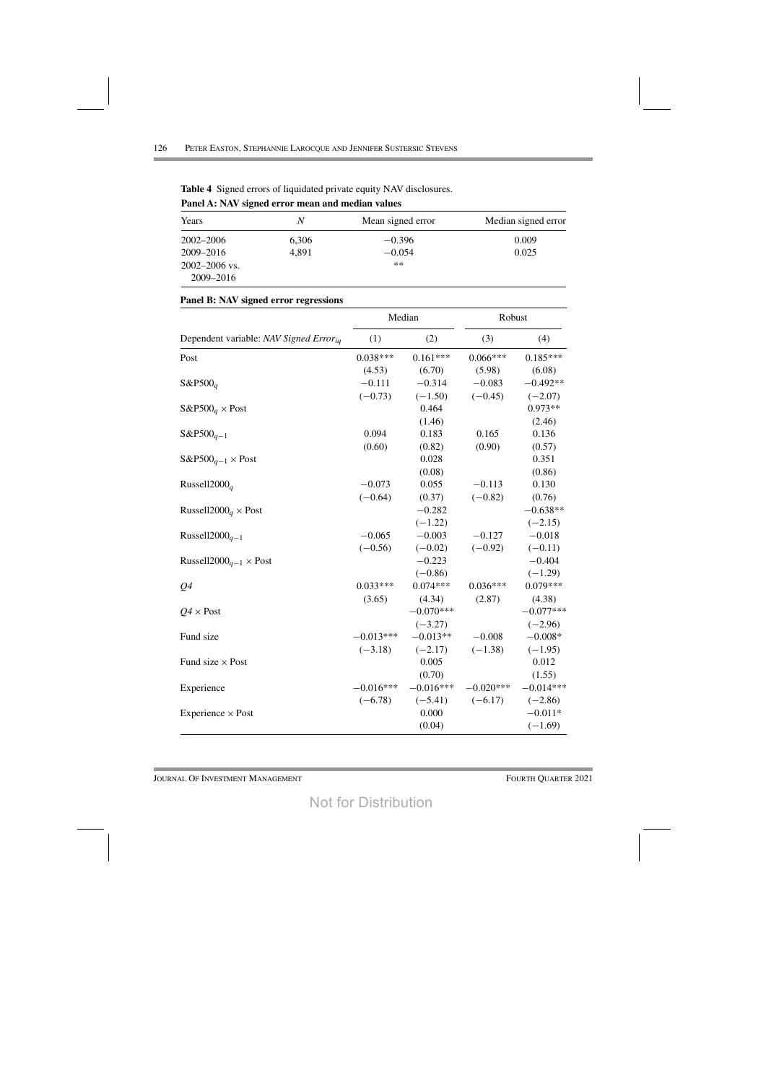| Years             | N     | Mean signed error | Median signed error |
|-------------------|-------|-------------------|---------------------|
| 2002–2006         | 6,306 | $-0.396$          | 0.009               |
| 2009-2016         | 4,891 | $-0.054$          | 0.025               |
| $2002 - 2006$ vs. |       | $**$              |                     |
| 2009-2016         |       |                   |                     |

| <b>Table 4</b> Signed errors of liquidated private equity NAV disclosures. |  |  |
|----------------------------------------------------------------------------|--|--|
| Panel A: NAV signed error mean and median values                           |  |  |

#### **Panel B: NAV signed error regressions**

|                                                | Median      |             | Robust      |             |
|------------------------------------------------|-------------|-------------|-------------|-------------|
| Dependent variable: NAV Signed Erroria         | (1)         | (2)         | (3)         | (4)         |
| Post                                           | $0.038***$  | $0.161***$  | $0.066***$  | $0.185***$  |
|                                                | (4.53)      | (6.70)      | (5.98)      | (6.08)      |
| $S\&P500a$                                     | $-0.111$    | $-0.314$    | $-0.083$    | $-0.492**$  |
|                                                | $(-0.73)$   | $(-1.50)$   | $(-0.45)$   | $(-2.07)$   |
| $S\&P500_q \times Post$                        |             | 0.464       |             | $0.973**$   |
|                                                |             | (1.46)      |             | (2.46)      |
| $S\&P500_{q-1}$                                | 0.094       | 0.183       | 0.165       | 0.136       |
|                                                | (0.60)      | (0.82)      | (0.90)      | (0.57)      |
| $S\&P500_{q-1}\times Post$                     |             | 0.028       |             | 0.351       |
|                                                |             | (0.08)      |             | (0.86)      |
| Russell2000 $_q$                               | $-0.073$    | 0.055       | $-0.113$    | 0.130       |
|                                                | $(-0.64)$   | (0.37)      | $(-0.82)$   | (0.76)      |
| Russell2000 <sub>a</sub> × Post                |             | $-0.282$    |             | $-0.638**$  |
|                                                |             | $(-1.22)$   |             | $(-2.15)$   |
| Russell2000 $q-1$                              | $-0.065$    | $-0.003$    | $-0.127$    | $-0.018$    |
|                                                | $(-0.56)$   | $(-0.02)$   | $(-0.92)$   | $(-0.11)$   |
| Russell2000 <sub><math>q-1</math></sub> × Post |             | $-0.223$    |             | $-0.404$    |
|                                                |             | $(-0.86)$   |             | $(-1.29)$   |
| Q <sub>4</sub>                                 | $0.033***$  | $0.074***$  | $0.036***$  | $0.079***$  |
|                                                | (3.65)      | (4.34)      | (2.87)      | (4.38)      |
| $Q4 \times$ Post                               |             | $-0.070***$ |             | $-0.077***$ |
|                                                |             | $(-3.27)$   |             | $(-2.96)$   |
| Fund size                                      | $-0.013***$ | $-0.013**$  | $-0.008$    | $-0.008*$   |
|                                                | $(-3.18)$   | $(-2.17)$   | $(-1.38)$   | $(-1.95)$   |
| Fund size $\times$ Post                        |             | 0.005       |             | 0.012       |
|                                                |             | (0.70)      |             | (1.55)      |
| Experience                                     | $-0.016***$ | $-0.016***$ | $-0.020***$ | $-0.014***$ |
|                                                | $(-6.78)$   | $(-5.41)$   | $(-6.17)$   | $(-2.86)$   |
| Experience $\times$ Post                       |             | 0.000       |             | $-0.011*$   |
|                                                |             | (0.04)      |             | $(-1.69)$   |

JOURNAL OF INVESTMENT MANAGEMENT **FOURTH QUARTER 2021**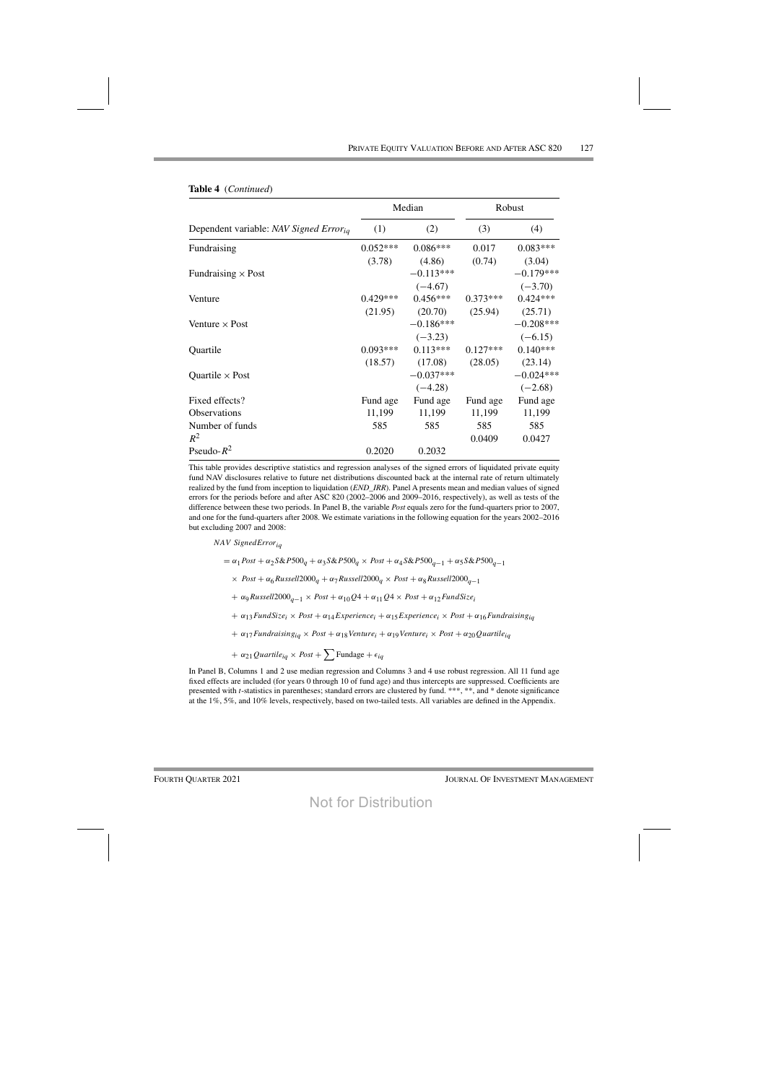|                                                    |            | Median      |            | Robust      |
|----------------------------------------------------|------------|-------------|------------|-------------|
| Dependent variable: NAV Signed Error <sub>ia</sub> | (1)        | (2)         | (3)        | (4)         |
| Fundraising                                        | $0.052***$ | $0.086***$  | 0.017      | $0.083***$  |
|                                                    | (3.78)     | (4.86)      | (0.74)     | (3.04)      |
| Fundraising $\times$ Post                          |            | $-0.113***$ |            | $-0.179***$ |
|                                                    |            | $(-4.67)$   |            | $(-3.70)$   |
| Venture                                            | $0.429***$ | $0.456***$  | $0.373***$ | $0.424***$  |
|                                                    | (21.95)    | (20.70)     | (25.94)    | (25.71)     |
| Venture $\times$ Post                              |            | $-0.186***$ |            | $-0.208***$ |
|                                                    |            | $(-3.23)$   |            | $(-6.15)$   |
| Quartile                                           | $0.093***$ | $0.113***$  | $0.127***$ | $0.140***$  |
|                                                    | (18.57)    | (17.08)     | (28.05)    | (23.14)     |
| Quartile $\times$ Post                             |            | $-0.037***$ |            | $-0.024***$ |
|                                                    |            | $(-4.28)$   |            | $(-2.68)$   |
| Fixed effects?                                     | Fund age   | Fund age    | Fund age   | Fund age    |
| <b>Observations</b>                                | 11,199     | 11,199      | 11,199     | 11,199      |
| Number of funds                                    | 585        | 585         | 585        | 585         |
| $R^2$                                              |            |             | 0.0409     | 0.0427      |
| Pseudo- $R^2$                                      | 0.2020     | 0.2032      |            |             |

#### Table 4 (Continued)

This table provides descriptive statistics and regression analyses of the signed errors of liquidated private equity fund NAV disclosures relative to future net distributions discounted back at the internal rate of return ultimately realized by the fund from inception to liquidation (*END\_IRR*). Panel A presents mean and median values of signed errors for the periods before and after ASC 820 (2002–2006 and 2009–2016, respectively), as well as tests of the difference between these two periods. In Panel B, the variable Post equals zero for the fund-quarters prior to 2007, and one for the fund-quarters after 2008. We estimate variations in the following equation for the years 2002-2016 but excluding 2007 and 2008:

NAV SignedError<sub>ia</sub>

=  $\alpha_1$ Post +  $\alpha_2$ S&P500<sub>q</sub> +  $\alpha_3$ S&P500<sub>q</sub> × Post +  $\alpha_4$ S&P500<sub>q-1</sub> +  $\alpha_5$ S&P500<sub>q-1</sub>

 $\times$  Post +  $\alpha_6$ Russell2000<sub>q</sub> +  $\alpha_7$ Russell2000<sub>q</sub>  $\times$  Post +  $\alpha_8$ Russell2000<sub>q-1</sub>

+  $\alpha$ 9 Russell2000<sub>a-1</sub> × Post +  $\alpha$ <sub>10</sub> $Q$ 4 +  $\alpha$ <sub>11</sub> $Q$ 4 × Post +  $\alpha$ <sub>12</sub> FundSize<sub>i</sub>

 $+ \alpha_{13}$ FundSize<sub>i</sub> × Post  $+ \alpha_{14}$ Experience<sub>i</sub> +  $\alpha_{15}$ Experience<sub>i</sub> × Post +  $\alpha_{16}$ Fundraising<sub>ia</sub>

+  $\alpha_{17}$  Fundraising<sub>iq</sub> × Post +  $\alpha_{18}$  Venture<sub>i</sub> +  $\alpha_{19}$  Venture<sub>i</sub> × Post +  $\alpha_{20}$  Quartile<sub>iq</sub>

$$
+ \alpha_{21} \mathit{Quartile}_{iq} \times \mathit{Post} + \sum \text{Fundage} + \epsilon_{iq}
$$

In Panel B, Columns 1 and 2 use median regression and Columns 3 and 4 use robust regression. All 11 fund age fixed effects are included (for years 0 through 10 of fund age) and thus intercepts are suppressed. Coefficients are presented with *t*-statistics in parentheses; standard errors are clustered by fund. \*\*\*, \*\*, and \* denote significance at the 1%, 5%, and 10% levels, respectively, based on two-tailed tests. All variables are defined in the Appendix.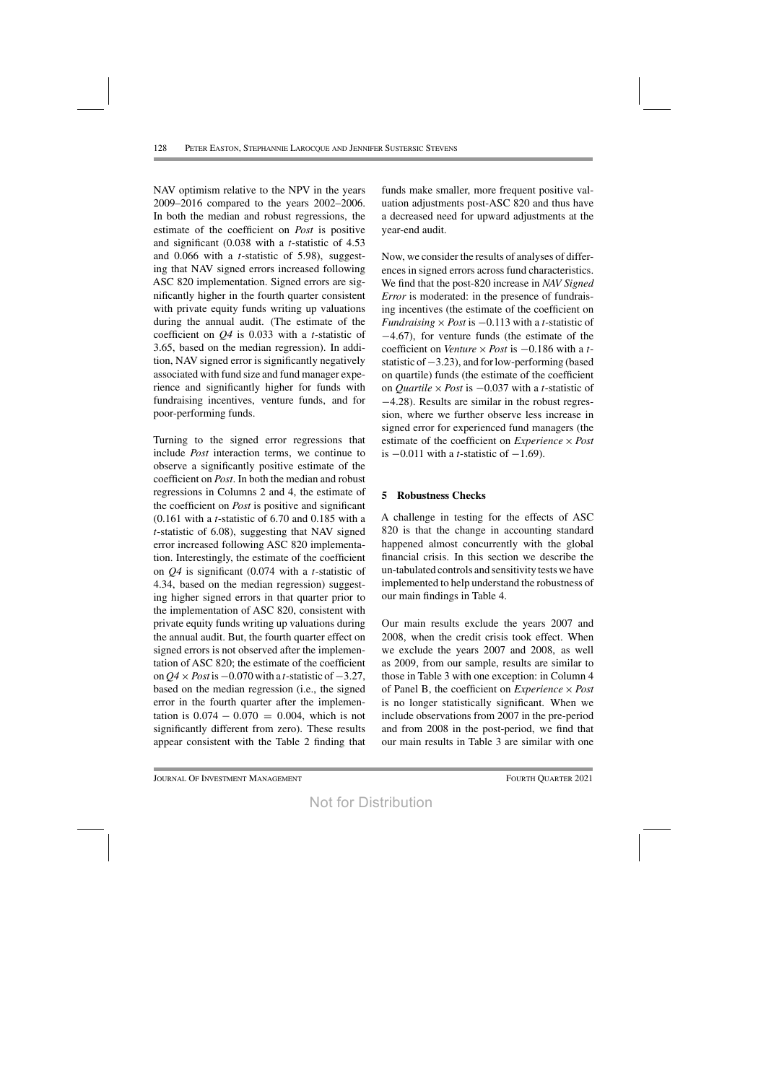NAV optimism relative to the NPV in the years 2009–2016 compared to the years 2002–2006. In both the median and robust regressions, the estimate of the coefficient on *Post* is positive and significant (0.038 with a *t*-statistic of 4.53 and 0.066 with a *t*-statistic of 5.98), suggesting that NAV signed errors increased following ASC 820 implementation. Signed errors are significantly higher in the fourth quarter consistent with private equity funds writing up valuations during the annual audit. (The estimate of the coefficient on *Q4* is 0.033 with a *t*-statistic of 3.65, based on the median regression). In addition, NAV signed error is significantly negatively associated with fund size and fund manager experience and significantly higher for funds with fundraising incentives, venture funds, and for poor-performing funds.

Turning to the signed error regressions that include *Post* interaction terms, we continue to observe a significantly positive estimate of the coefficient on *Post*. In both the median and robust regressions in Columns 2 and 4, the estimate of the coefficient on *Post* is positive and significant (0.161 with a *t*-statistic of 6.70 and 0.185 with a *t*-statistic of 6.08), suggesting that NAV signed error increased following ASC 820 implementation. Interestingly, the estimate of the coefficient on *Q4* is significant (0.074 with a *t*-statistic of 4.34, based on the median regression) suggesting higher signed errors in that quarter prior to the implementation of ASC 820, consistent with private equity funds writing up valuations during the annual audit. But, the fourth quarter effect on signed errors is not observed after the implementation of ASC 820; the estimate of the coefficient on *Q4* × *Post* is−0.070 with a *t*-statistic of−3.27, based on the median regression (i.e., the signed error in the fourth quarter after the implementation is  $0.074 - 0.070 = 0.004$ , which is not significantly different from zero). These results appear consistent with the Table 2 finding that

funds make smaller, more frequent positive valuation adjustments post-ASC 820 and thus have a decreased need for upward adjustments at the year-end audit.

Now, we consider the results of analyses of differences in signed errors across fund characteristics. We find that the post-820 increase in *NAV Signed Error* is moderated: in the presence of fundraising incentives (the estimate of the coefficient on *Fundraising*  $\times$  *Post* is  $-0.113$  with a *t*-statistic of −4.67), for venture funds (the estimate of the coefficient on *Venture* × *Post* is −0.186 with a *t*statistic of−3.23), and forlow-performing (based on quartile) funds (the estimate of the coefficient on *Quartile* × *Post* is −0.037 with a *t*-statistic of −4.28). Results are similar in the robust regression, where we further observe less increase in signed error for experienced fund managers (the estimate of the coefficient on *Experience* × *Post* is  $-0.011$  with a *t*-statistic of  $-1.69$ ).

# **5 Robustness Checks**

A challenge in testing for the effects of ASC 820 is that the change in accounting standard happened almost concurrently with the global financial crisis. In this section we describe the un-tabulated controls and sensitivity tests we have implemented to help understand the robustness of our main findings in Table 4.

Our main results exclude the years 2007 and 2008, when the credit crisis took effect. When we exclude the years 2007 and 2008, as well as 2009, from our sample, results are similar to those in Table 3 with one exception: in Column 4 of Panel B, the coefficient on *Experience* × *Post* is no longer statistically significant. When we include observations from 2007 in the pre-period and from 2008 in the post-period, we find that our main results in Table 3 are similar with one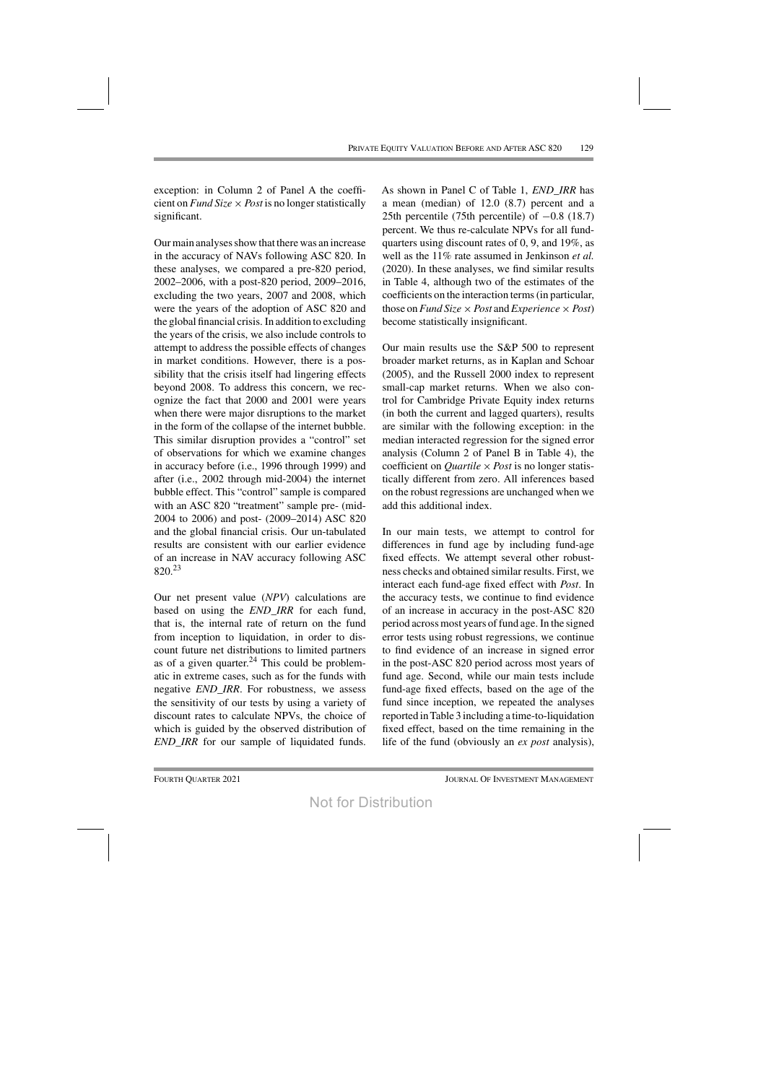exception: in Column 2 of Panel A the coefficient on *Fund Size*  $\times$  *Post* is no longer statistically significant.

Our main analyses show that there was an increase in the accuracy of NAVs following ASC 820. In these analyses, we compared a pre-820 period, 2002–2006, with a post-820 period, 2009–2016, excluding the two years, 2007 and 2008, which were the years of the adoption of ASC 820 and the global financial crisis. In addition to excluding the years of the crisis, we also include controls to attempt to address the possible effects of changes in market conditions. However, there is a possibility that the crisis itself had lingering effects beyond 2008. To address this concern, we recognize the fact that 2000 and 2001 were years when there were major disruptions to the market in the form of the collapse of the internet bubble. This similar disruption provides a "control" set of observations for which we examine changes in accuracy before (i.e., 1996 through 1999) and after (i.e., 2002 through mid-2004) the internet bubble effect. This "control" sample is compared with an ASC 820 "treatment" sample pre- (mid-2004 to 2006) and post- (2009–2014) ASC 820 and the global financial crisis. Our un-tabulated results are consistent with our earlier evidence of an increase in NAV accuracy following ASC 820.23

Our net present value (*NPV*) calculations are based on using the *END\_IRR* for each fund, that is, the internal rate of return on the fund from inception to liquidation, in order to discount future net distributions to limited partners as of a given quarter. $^{24}$  This could be problematic in extreme cases, such as for the funds with negative *END\_IRR*. For robustness, we assess the sensitivity of our tests by using a variety of discount rates to calculate NPVs, the choice of which is guided by the observed distribution of *END\_IRR* for our sample of liquidated funds. As shown in Panel C of Table 1, *END\_IRR* has a mean (median) of 12.0 (8.7) percent and a 25th percentile (75th percentile) of  $-0.8$  (18.7) percent. We thus re-calculate NPVs for all fundquarters using discount rates of 0, 9, and 19%, as well as the 11% rate assumed in Jenkinson *et al.* (2020). In these analyses, we find similar results in Table 4, although two of the estimates of the coefficients on the interaction terms(in particular, those on *Fund Size*  $\times$  *Post* and *Experience*  $\times$  *Post*) become statistically insignificant.

Our main results use the S&P 500 to represent broader market returns, as in Kaplan and Schoar (2005), and the Russell 2000 index to represent small-cap market returns. When we also control for Cambridge Private Equity index returns (in both the current and lagged quarters), results are similar with the following exception: in the median interacted regression for the signed error analysis (Column 2 of Panel B in Table 4), the coefficient on *Quartile* × *Post* is no longer statistically different from zero. All inferences based on the robust regressions are unchanged when we add this additional index.

In our main tests, we attempt to control for differences in fund age by including fund-age fixed effects. We attempt several other robustness checks and obtained similar results. First, we interact each fund-age fixed effect with *Post*. In the accuracy tests, we continue to find evidence of an increase in accuracy in the post-ASC 820 period across most years of fund age. In the signed error tests using robust regressions, we continue to find evidence of an increase in signed error in the post-ASC 820 period across most years of fund age. Second, while our main tests include fund-age fixed effects, based on the age of the fund since inception, we repeated the analyses reported inTable 3 including a time-to-liquidation fixed effect, based on the time remaining in the life of the fund (obviously an *ex post* analysis),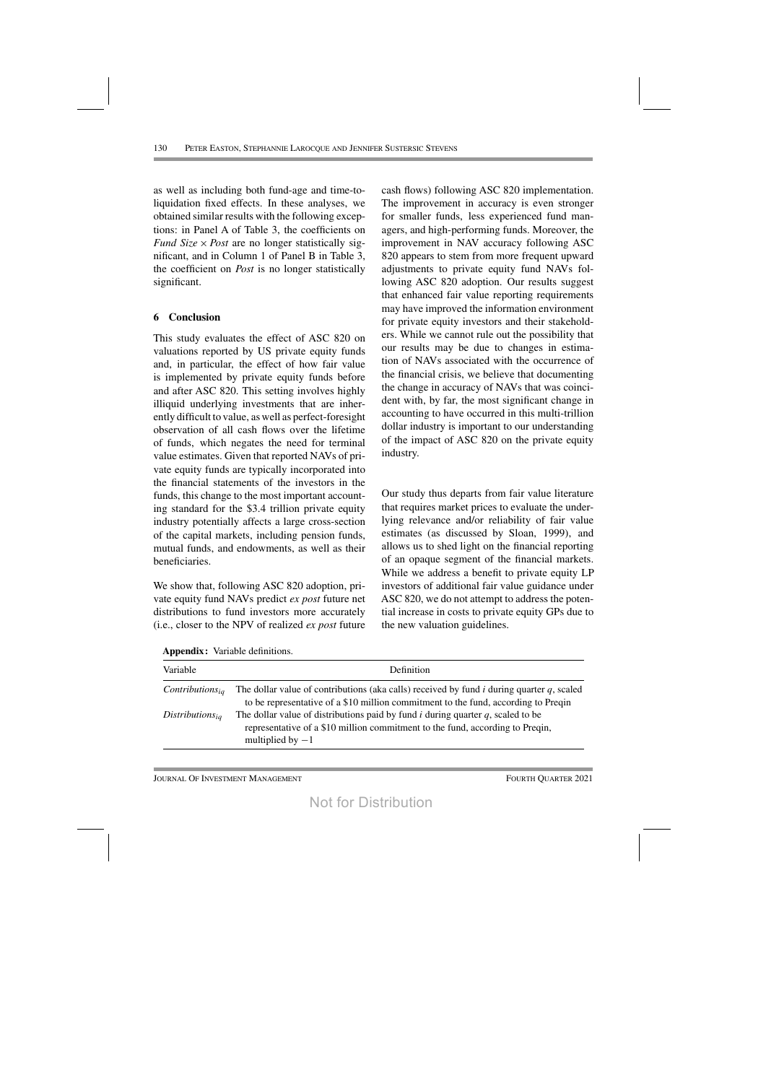as well as including both fund-age and time-toliquidation fixed effects. In these analyses, we obtained similar results with the following exceptions: in Panel A of Table 3, the coefficients on *Fund Size*  $\times$  *Post* are no longer statistically significant, and in Column 1 of Panel B in Table 3, the coefficient on *Post* is no longer statistically significant.

### **6 Conclusion**

This study evaluates the effect of ASC 820 on valuations reported by US private equity funds and, in particular, the effect of how fair value is implemented by private equity funds before and after ASC 820. This setting involves highly illiquid underlying investments that are inherently difficult to value, as well as perfect-foresight observation of all cash flows over the lifetime of funds, which negates the need for terminal value estimates. Given that reported NAVs of private equity funds are typically incorporated into the financial statements of the investors in the funds, this change to the most important accounting standard for the \$3.4 trillion private equity industry potentially affects a large cross-section of the capital markets, including pension funds, mutual funds, and endowments, as well as their beneficiaries.

We show that, following ASC 820 adoption, private equity fund NAVs predict *ex post* future net distributions to fund investors more accurately (i.e., closer to the NPV of realized *ex post* future

cash flows) following ASC 820 implementation. The improvement in accuracy is even stronger for smaller funds, less experienced fund managers, and high-performing funds. Moreover, the improvement in NAV accuracy following ASC 820 appears to stem from more frequent upward adjustments to private equity fund NAVs following ASC 820 adoption. Our results suggest that enhanced fair value reporting requirements may have improved the information environment for private equity investors and their stakeholders. While we cannot rule out the possibility that our results may be due to changes in estimation of NAVs associated with the occurrence of the financial crisis, we believe that documenting the change in accuracy of NAVs that was coincident with, by far, the most significant change in accounting to have occurred in this multi-trillion dollar industry is important to our understanding of the impact of ASC 820 on the private equity industry.

Our study thus departs from fair value literature that requires market prices to evaluate the underlying relevance and/or reliability of fair value estimates (as discussed by Sloan, 1999), and allows us to shed light on the financial reporting of an opaque segment of the financial markets. While we address a benefit to private equity LP investors of additional fair value guidance under ASC 820, we do not attempt to address the potential increase in costs to private equity GPs due to the new valuation guidelines.

| Variable             | Definition                                                                                                                                                                                  |
|----------------------|---------------------------------------------------------------------------------------------------------------------------------------------------------------------------------------------|
| $Continuous_{ia}$    | The dollar value of contributions (aka calls) received by fund $i$ during quarter $q$ , scaled<br>to be representative of a \$10 million commitment to the fund, according to Preqin        |
| $Distributions_{ia}$ | The dollar value of distributions paid by fund $i$ during quarter $q$ , scaled to be<br>representative of a \$10 million commitment to the fund, according to Preqin,<br>multiplied by $-1$ |

**Appendix:** Variable definitions.

Journal Of Investment Management Fourth Quarter 2021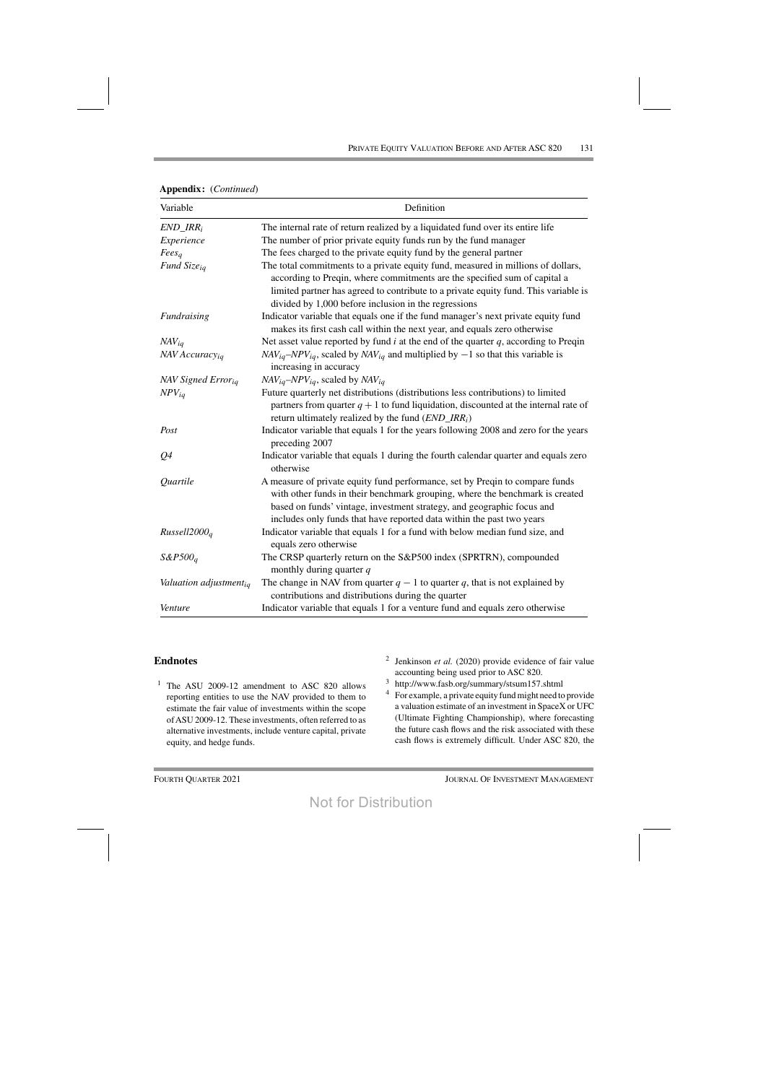| <b>Appendix:</b> ( <i>Continued</i> ) |  |  |
|---------------------------------------|--|--|
|---------------------------------------|--|--|

| Variable                   | Definition                                                                                                                                                                                                                                                                                                      |
|----------------------------|-----------------------------------------------------------------------------------------------------------------------------------------------------------------------------------------------------------------------------------------------------------------------------------------------------------------|
| $END\_IRR_i$               | The internal rate of return realized by a liquidated fund over its entire life                                                                                                                                                                                                                                  |
| Experience                 | The number of prior private equity funds run by the fund manager                                                                                                                                                                                                                                                |
| Fees <sub>a</sub>          | The fees charged to the private equity fund by the general partner                                                                                                                                                                                                                                              |
| Fund Size <sub>ig</sub>    | The total commitments to a private equity fund, measured in millions of dollars,<br>according to Preqin, where commitments are the specified sum of capital a<br>limited partner has agreed to contribute to a private equity fund. This variable is<br>divided by 1,000 before inclusion in the regressions    |
| Fundraising                | Indicator variable that equals one if the fund manager's next private equity fund<br>makes its first cash call within the next year, and equals zero otherwise                                                                                                                                                  |
| $NAV_{ia}$                 | Net asset value reported by fund $i$ at the end of the quarter $q$ , according to Preqin                                                                                                                                                                                                                        |
| NAV Accuracy <sub>ia</sub> | $NAV_{iq}$ –NPV <sub>iq</sub> , scaled by NAV <sub>iq</sub> and multiplied by –1 so that this variable is<br>increasing in accuracy                                                                                                                                                                             |
| <b>NAV Signed Erroria</b>  | $NAV_{iq}$ -NPV <sub>iq</sub> , scaled by NAV <sub>iq</sub>                                                                                                                                                                                                                                                     |
| $NPV_{iq}$                 | Future quarterly net distributions (distributions less contributions) to limited<br>partners from quarter $q + 1$ to fund liquidation, discounted at the internal rate of<br>return ultimately realized by the fund $(END\_IRR_i)$                                                                              |
| Post                       | Indicator variable that equals 1 for the years following 2008 and zero for the years<br>preceding 2007                                                                                                                                                                                                          |
| Q <sub>4</sub>             | Indicator variable that equals 1 during the fourth calendar quarter and equals zero<br>otherwise                                                                                                                                                                                                                |
| Quartile                   | A measure of private equity fund performance, set by Preqin to compare funds<br>with other funds in their benchmark grouping, where the benchmark is created<br>based on funds' vintage, investment strategy, and geographic focus and<br>includes only funds that have reported data within the past two years |
| Russell2000 <sub>q</sub>   | Indicator variable that equals 1 for a fund with below median fund size, and<br>equals zero otherwise                                                                                                                                                                                                           |
| $S\&P500a$                 | The CRSP quarterly return on the S&P500 index (SPRTRN), compounded<br>monthly during quarter q                                                                                                                                                                                                                  |
| Valuation adjustmentig     | The change in NAV from quarter $q - 1$ to quarter q, that is not explained by<br>contributions and distributions during the quarter                                                                                                                                                                             |
| Venture                    | Indicator variable that equals 1 for a venture fund and equals zero otherwise                                                                                                                                                                                                                                   |

#### **Endnotes**

- <sup>1</sup> The ASU 2009-12 amendment to ASC 820 allows reporting entities to use the NAV provided to them to estimate the fair value of investments within the scope ofASU 2009-12. These investments, often referred to as alternative investments, include venture capital, private equity, and hedge funds.
- <sup>2</sup> Jenkinson *et al.* (2020) provide evidence of fair value accounting being used prior to ASC 820.
- <sup>3</sup> http://www.fasb.org/summary/stsum157.shtml
- <sup>4</sup> For example, a private equity fund might need to provide a valuation estimate of an investment in SpaceX or UFC (Ultimate Fighting Championship), where forecasting the future cash flows and the risk associated with these cash flows is extremely difficult. Under ASC 820, the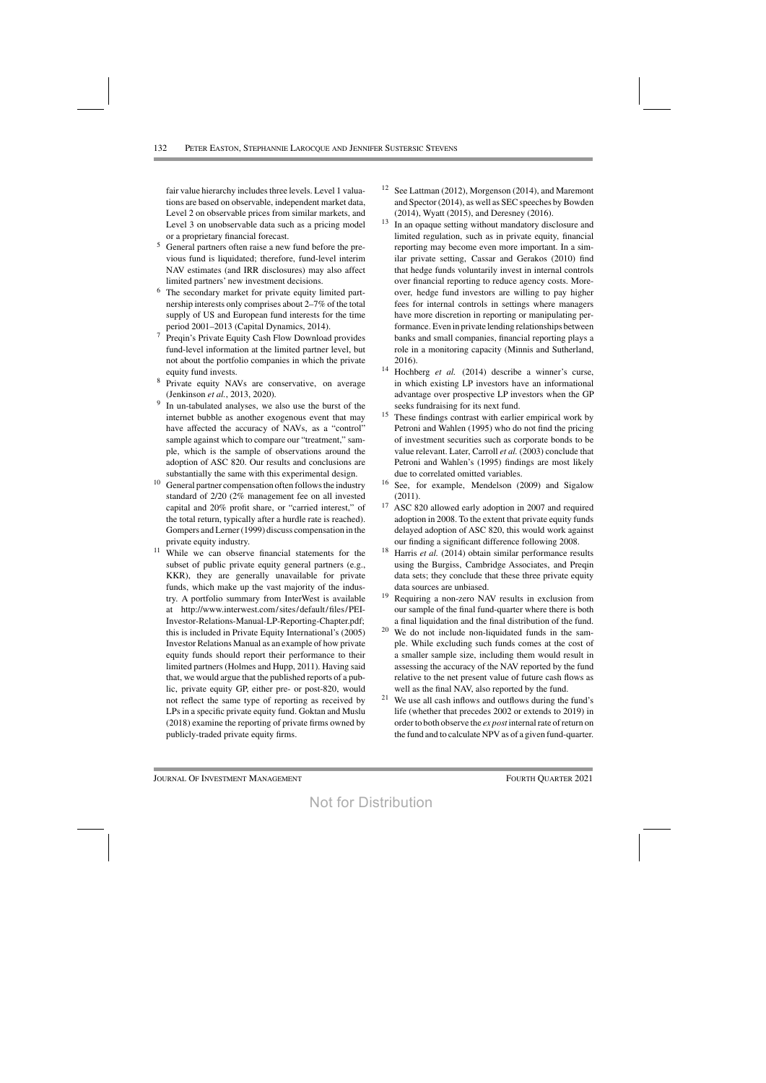fair value hierarchy includes three levels. Level 1 valuations are based on observable, independent market data, Level 2 on observable prices from similar markets, and Level 3 on unobservable data such as a pricing model or a proprietary financial forecast.

- <sup>5</sup> General partners often raise a new fund before the previous fund is liquidated; therefore, fund-level interim NAV estimates (and IRR disclosures) may also affect limited partners' new investment decisions.
- <sup>6</sup> The secondary market for private equity limited partnership interests only comprises about 2–7% of the total supply of US and European fund interests for the time period 2001–2013 (Capital Dynamics, 2014).
- <sup>7</sup> Preqin's Private Equity Cash Flow Download provides fund-level information at the limited partner level, but not about the portfolio companies in which the private equity fund invests.
- <sup>8</sup> Private equity NAVs are conservative, on average (Jenkinson *et al.*, 2013, 2020).
- <sup>9</sup> In un-tabulated analyses, we also use the burst of the internet bubble as another exogenous event that may have affected the accuracy of NAVs, as a "control" sample against which to compare our "treatment," sample, which is the sample of observations around the adoption of ASC 820. Our results and conclusions are substantially the same with this experimental design.
- $10$  General partner compensation often follows the industry standard of 2/20 (2% management fee on all invested capital and 20% profit share, or "carried interest," of the total return, typically after a hurdle rate is reached). Gompers and Lerner (1999) discuss compensation in the private equity industry.
- $11$  While we can observe financial statements for the subset of public private equity general partners (e.g., KKR), they are generally unavailable for private funds, which make up the vast majority of the industry. A portfolio summary from InterWest is available at http://www.interwest.com/sites/default/files/PEI-Investor-Relations-Manual-LP-Reporting-Chapter.pdf; this is included in Private Equity International's (2005) Investor Relations Manual as an example of how private equity funds should report their performance to their limited partners (Holmes and Hupp, 2011). Having said that, we would argue that the published reports of a public, private equity GP, either pre- or post-820, would not reflect the same type of reporting as received by LPs in a specific private equity fund. Goktan and Muslu (2018) examine the reporting of private firms owned by publicly-traded private equity firms.
- <sup>12</sup> See Lattman (2012), Morgenson (2014), and Maremont and Spector (2014), as well as SEC speeches by Bowden (2014), Wyatt (2015), and Deresney (2016).
- <sup>13</sup> In an opaque setting without mandatory disclosure and limited regulation, such as in private equity, financial reporting may become even more important. In a similar private setting, Cassar and Gerakos (2010) find that hedge funds voluntarily invest in internal controls over financial reporting to reduce agency costs. Moreover, hedge fund investors are willing to pay higher fees for internal controls in settings where managers have more discretion in reporting or manipulating performance. Even in private lending relationships between banks and small companies, financial reporting plays a role in a monitoring capacity (Minnis and Sutherland, 2016).
- <sup>14</sup> Hochberg *et al.* (2014) describe a winner's curse, in which existing LP investors have an informational advantage over prospective LP investors when the GP seeks fundraising for its next fund.
- <sup>15</sup> These findings contrast with earlier empirical work by Petroni and Wahlen (1995) who do not find the pricing of investment securities such as corporate bonds to be value relevant. Later, Carroll *et al.* (2003) conclude that Petroni and Wahlen's (1995) findings are most likely due to correlated omitted variables.
- <sup>16</sup> See, for example, Mendelson (2009) and Sigalow (2011).
- <sup>17</sup> ASC 820 allowed early adoption in 2007 and required adoption in 2008. To the extent that private equity funds delayed adoption of ASC 820, this would work against our finding a significant difference following 2008.
- Harris *et al.* (2014) obtain similar performance results using the Burgiss, Cambridge Associates, and Preqin data sets; they conclude that these three private equity data sources are unbiased.
- <sup>19</sup> Requiring a non-zero NAV results in exclusion from our sample of the final fund-quarter where there is both a final liquidation and the final distribution of the fund.
- $20$  We do not include non-liquidated funds in the sample. While excluding such funds comes at the cost of a smaller sample size, including them would result in assessing the accuracy of the NAV reported by the fund relative to the net present value of future cash flows as well as the final NAV, also reported by the fund.
- <sup>21</sup> We use all cash inflows and outflows during the fund's life (whether that precedes 2002 or extends to 2019) in order to both observe the *ex post* internal rate of return on the fund and to calculate NPV as of a given fund-quarter.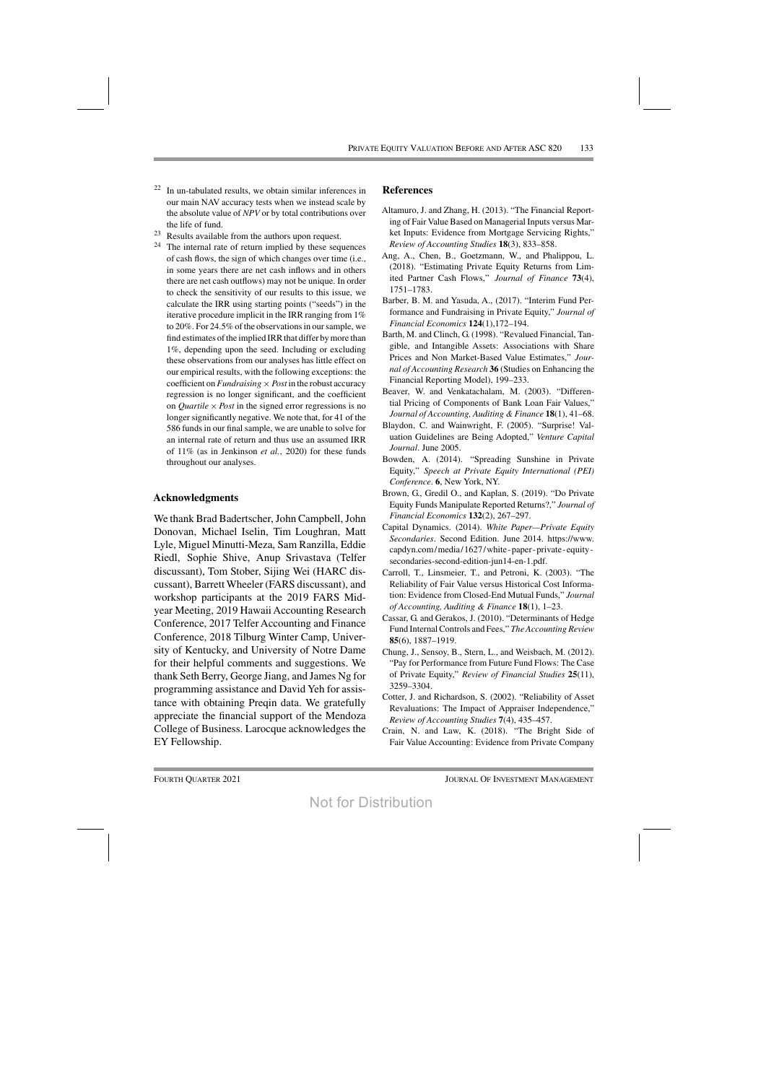- $22$  In un-tabulated results, we obtain similar inferences in our main NAV accuracy tests when we instead scale by the absolute value of *NPV* or by total contributions over the life of fund.
- <sup>23</sup> Results available from the authors upon request.
- $24$  The internal rate of return implied by these sequences of cash flows, the sign of which changes over time (i.e., in some years there are net cash inflows and in others there are net cash outflows) may not be unique. In order to check the sensitivity of our results to this issue, we calculate the IRR using starting points ("seeds") in the iterative procedure implicit in the IRR ranging from 1% to 20%. For 24.5% of the observations in our sample, we find estimates of the implied IRR that differ by more than 1%, depending upon the seed. Including or excluding these observations from our analyses has little effect on our empirical results, with the following exceptions: the coefficient on *Fundraising*  $\times$  *Post* in the robust accuracy regression is no longer significant, and the coefficient on *Quartile*  $\times$  *Post* in the signed error regressions is no longer significantly negative. We note that, for 41 of the 586 funds in our final sample, we are unable to solve for an internal rate of return and thus use an assumed IRR of 11% (as in Jenkinson *et al.*, 2020) for these funds throughout our analyses.

#### **Acknowledgments**

We thank Brad Badertscher, John Campbell, John Donovan, Michael Iselin, Tim Loughran, Matt Lyle, Miguel Minutti-Meza, Sam Ranzilla, Eddie Riedl, Sophie Shive, Anup Srivastava (Telfer discussant), Tom Stober, Sijing Wei (HARC discussant), Barrett Wheeler (FARS discussant), and workshop participants at the 2019 FARS Midyear Meeting, 2019 Hawaii Accounting Research Conference, 2017 Telfer Accounting and Finance Conference, 2018 Tilburg Winter Camp, University of Kentucky, and University of Notre Dame for their helpful comments and suggestions. We thank Seth Berry, George Jiang, and James Ng for programming assistance and David Yeh for assistance with obtaining Preqin data. We gratefully appreciate the financial support of the Mendoza College of Business. Larocque acknowledges the EY Fellowship.

### **References**

- Altamuro, J. and Zhang, H. (2013). "The Financial Reporting of Fair Value Based on Managerial Inputs versus Market Inputs: Evidence from Mortgage Servicing Rights," *Review of Accounting Studies* **18**(3), 833–858.
- Ang, A., Chen, B., Goetzmann, W., and Phalippou, L. (2018). "Estimating Private Equity Returns from Limited Partner Cash Flows," *Journal of Finance* **73**(4), 1751–1783.
- Barber, B. M. and Yasuda, A., (2017). "Interim Fund Performance and Fundraising in Private Equity," *Journal of Financial Economics* **124**(1),172–194.
- Barth, M. and Clinch, G. (1998). "Revalued Financial, Tangible, and Intangible Assets: Associations with Share Prices and Non Market-Based Value Estimates," *Journal of Accounting Research* **36** (Studies on Enhancing the Financial Reporting Model), 199–233.
- Beaver, W. and Venkatachalam, M. (2003). "Differential Pricing of Components of Bank Loan Fair Values," *Journal of Accounting, Auditing & Finance* **18**(1), 41–68.
- Blaydon, C. and Wainwright, F. (2005). "Surprise! Valuation Guidelines are Being Adopted," *Venture Capital Journal*. June 2005.
- Bowden, A. (2014). "Spreading Sunshine in Private Equity," *Speech at Private Equity International (PEI) Conference*. **6**, New York, NY.
- Brown, G., Gredil O., and Kaplan, S. (2019). "Do Private Equity Funds Manipulate Reported Returns?," *Journal of Financial Economics* **132**(2), 267–297.
- Capital Dynamics. (2014). *White Paper—Private Equity Secondaries*. Second Edition. June 2014. https://www. capdyn.com/media/1627/white-paper-private-equitysecondaries-second-edition-jun14-en-1.pdf.
- Carroll, T., Linsmeier, T., and Petroni, K. (2003). "The Reliability of Fair Value versus Historical Cost Information: Evidence from Closed-End Mutual Funds," *Journal of Accounting, Auditing & Finance* **18**(1), 1–23.
- Cassar, G. and Gerakos, J. (2010). "Determinants of Hedge Fund InternalControls and Fees," *TheAccounting Review* **85**(6), 1887–1919.
- Chung, J., Sensoy, B., Stern, L., and Weisbach, M. (2012). "Pay for Performance from Future Fund Flows: The Case of Private Equity," *Review of Financial Studies* **25**(11), 3259–3304.
- Cotter, J. and Richardson, S. (2002). "Reliability of Asset Revaluations: The Impact of Appraiser Independence," *Review of Accounting Studies* **7**(4), 435–457.
- Crain, N. and Law, K. (2018). "The Bright Side of Fair Value Accounting: Evidence from Private Company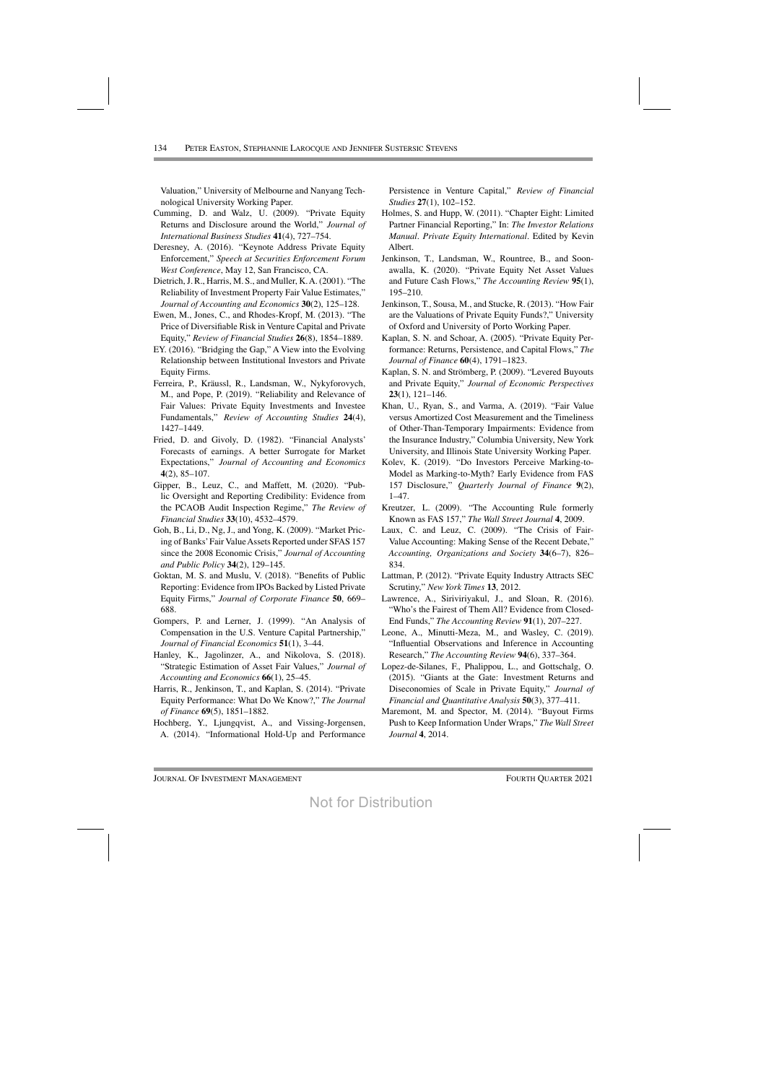Valuation," University of Melbourne and Nanyang Technological University Working Paper.

- Cumming, D. and Walz, U. (2009). "Private Equity Returns and Disclosure around the World," Journal of International Business Studies 41(4), 727-754.
- Deresney, A. (2016). "Keynote Address Private Equity Enforcement," Speech at Securities Enforcement Forum West Conference, May 12, San Francisco, CA.
- Dietrich, J. R., Harris, M. S., and Muller, K. A. (2001). "The Reliability of Investment Property Fair Value Estimates," Journal of Accounting and Economics 30(2), 125-128.
- Ewen, M., Jones, C., and Rhodes-Kropf, M. (2013). "The Price of Diversifiable Risk in Venture Capital and Private Equity," Review of Financial Studies 26(8), 1854-1889.
- EY. (2016). "Bridging the Gap," A View into the Evolving Relationship between Institutional Investors and Private **Equity Firms.**
- Ferreira, P., Kräussl, R., Landsman, W., Nykyforovych, M., and Pope, P. (2019). "Reliability and Relevance of Fair Values: Private Equity Investments and Investee Fundamentals," Review of Accounting Studies 24(4), 1427-1449.
- Fried, D. and Givoly, D. (1982). "Financial Analysts' Forecasts of earnings. A better Surrogate for Market Expectations," Journal of Accounting and Economics  $4(2), 85 - 107.$
- Gipper, B., Leuz, C., and Maffett, M. (2020). "Public Oversight and Reporting Credibility: Evidence from the PCAOB Audit Inspection Regime," The Review of Financial Studies 33(10), 4532-4579.
- Goh, B., Li, D., Ng, J., and Yong, K. (2009). "Market Pricing of Banks' Fair Value Assets Reported under SFAS 157 since the 2008 Economic Crisis," Journal of Accounting and Public Policy 34(2), 129–145.
- Goktan, M. S. and Muslu, V. (2018). "Benefits of Public Reporting: Evidence from IPOs Backed by Listed Private Equity Firms," Journal of Corporate Finance 50, 669-688.
- Gompers, P. and Lerner, J. (1999). "An Analysis of Compensation in the U.S. Venture Capital Partnership," Journal of Financial Economics 51(1), 3-44.
- Hanley, K., Jagolinzer, A., and Nikolova, S. (2018). "Strategic Estimation of Asset Fair Values," Journal of Accounting and Economics 66(1), 25–45.
- Harris, R., Jenkinson, T., and Kaplan, S. (2014). "Private Equity Performance: What Do We Know?," The Journal of Finance 69(5), 1851-1882.
- Hochberg, Y., Ljungqvist, A., and Vissing-Jorgensen, A. (2014). "Informational Hold-Up and Performance

Persistence in Venture Capital," Review of Financial Studies 27(1), 102-152.

- Holmes, S. and Hupp, W. (2011). "Chapter Eight: Limited Partner Financial Reporting," In: The Investor Relations Manual. Private Equity International. Edited by Kevin Albert.
- Jenkinson, T., Landsman, W., Rountree, B., and Soonawalla, K. (2020). "Private Equity Net Asset Values and Future Cash Flows," The Accounting Review 95(1), 195-210.
- Jenkinson, T., Sousa, M., and Stucke, R. (2013). "How Fair are the Valuations of Private Equity Funds?," University of Oxford and University of Porto Working Paper.
- Kaplan, S. N. and Schoar, A. (2005). "Private Equity Performance: Returns, Persistence, and Capital Flows," The Journal of Finance 60(4), 1791-1823.
- Kaplan, S. N. and Strömberg, P. (2009). "Levered Buyouts and Private Equity," Journal of Economic Perspectives  $23(1), 121-146.$
- Khan, U., Ryan, S., and Varma, A. (2019). "Fair Value versus Amortized Cost Measurement and the Timeliness of Other-Than-Temporary Impairments: Evidence from the Insurance Industry," Columbia University, New York University, and Illinois State University Working Paper.
- Kolev, K. (2019). "Do Investors Perceive Marking-to-Model as Marking-to-Myth? Early Evidence from FAS 157 Disclosure," Quarterly Journal of Finance 9(2),  $1 - 47$ .
- Kreutzer, L. (2009). "The Accounting Rule formerly Known as FAS 157," The Wall Street Journal 4, 2009.
- Laux, C. and Leuz, C. (2009). "The Crisis of Fair-Value Accounting: Making Sense of the Recent Debate," Accounting, Organizations and Society 34(6-7), 826-834.
- Lattman, P. (2012). "Private Equity Industry Attracts SEC Scrutiny," New York Times 13, 2012.
- Lawrence, A., Siriviriyakul, J., and Sloan, R. (2016). "Who's the Fairest of Them All? Evidence from Closed-End Funds," The Accounting Review 91(1), 207-227.
- Leone, A., Minutti-Meza, M., and Wasley, C. (2019). "Influential Observations and Inference in Accounting Research," The Accounting Review 94(6), 337–364.
- Lopez-de-Silanes, F., Phalippou, L., and Gottschalg, O. (2015). "Giants at the Gate: Investment Returns and Diseconomies of Scale in Private Equity," Journal of Financial and Quantitative Analysis 50(3), 377-411.
- Maremont, M. and Spector, M. (2014). "Buyout Firms Push to Keep Information Under Wraps," The Wall Street Journal 4, 2014.